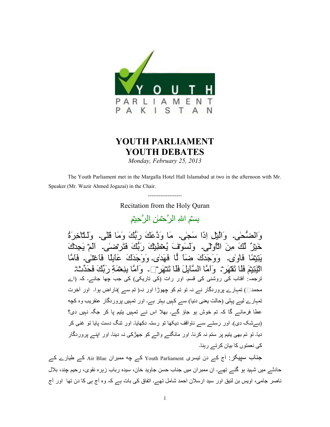

## **YOUTH PARLIAMENT YOUTH DEBATES**

*Monday, February 25, 2013*

 The Youth Parliament met in the Margalla Hotel Hall Islamabad at two in the afternoon with Mr. Speaker (Mr. Wazir Ahmed Jogazai) in the Chair.

> ------------------- Recitation from the Holy Quran

> > بِسْمِ اللهِ الرَّحْمٰنِ الرَّحِيْمِ

وَالْمَنُّحٰىِ۔ وَالَّيْلِ إِذَا سَجٰى۔ مَا وَدَّعَكَ رَبُّكَ وَمَا قَلْي۔ وَلَـلْتَاخِرَةُ خَيْرٌ ۗ لَكَ مِنَ الْأَوْلَٰي. ۖ وَلَسَوْقَ يُعْطَيِكَ رَبُّكَ فَتَرِضَىٰي. الْمِ يَجِدْكَ يَتِيْقَا فَاوِلٰي۔ وَوَجَدَكَ ضَبَآ لَمَّا فَهَدٰلي۔ وَوَجَدَكَ عَالِمًا فَاعْتَلٰي۔ فَامَّا الْيَتِيْمَ فَلَا نَقْهَرَ - ۚ وَ اَمَّا الْسَّالِلَ فَلَا نَتَّهَرَ ﴾ ۔ وِ اَمَّا بِنِعْمَةِ رِ بِّكَ فَحَدِّثْ ترجمہ: افتاب کی روشنی کی قسم۔ اور رات (کی تاریکی) کی جب جھا جائے۔ کہ (اے محمد $\Box$ ) تمہارے پروردگار نے نہ تو تم کو چھوڑا اور نہ( تم سے )ناراض ہوا۔ اور آخرت تمہارے لیے پہلی (حالت یعنی دنیا) سے کہیں بہتر ہے۔ اور تمہیں پروردگار عنقریب وہ کچه عطا فرمائے گا کہ تم خوش ہو جاؤ گے۔ بھلا اس نے تمہیں پتیم یا کر جگہ نہیں دی؟ (بےشک دی)۔ اور رستے سے ناواقف دیکھا تو رستہ دکھایا۔ اور تنگ دست پایا تو غنی کر دیا۔ تو تم بھی بتیم پر ستم نہ کرنا۔ اور مانگنے والے کو جھڑکی نہ دینا۔ اور اینے پروردگار کی نعمتوں کا بیان کرتے رہنا۔

جناب سپیکر : آج کے دن تیسری Youth Parliament کے جه ممبران Air Blue کے طیارے کے حادثـــر میں شہید ہو گئـــر تھـــر. ان ممبر ان میں جناب حسن جاوید خان، سیدہ رباب زہرہ نقوی، رحیم چند، بلال ناصر جامی، اویس بن لئیق اور سید ارسلان احمد شامل تھے۔ اتفاق کی بات ہے کہ وہ أج بی کا دن تھا ً اور أج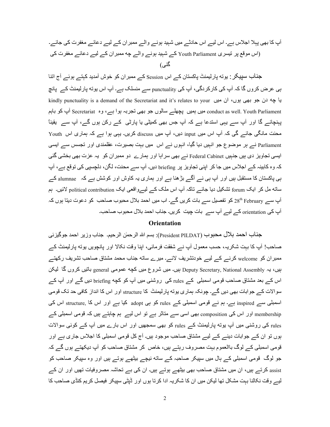آپ کا بھی پہلا اجلاس ہے۔ اس لیے اس حادثے میں شہید ہونے والے ممبر ان کے لیے دعائے مغفرت کی جائے۔ (اس موقع پر تیسری Youth Parliament کے شہید ہونے والے چه ممبران کے لیے دعائے مغفرت کی گئے ،)

جناب سپیکر : یونه پارلیمنٹ پاکستان کے اس Session کے ممبران کو خوش آمدید کہتے ہوئے آج اتنا ہی عرض کروں گا کہ آپ کی کارکردگی، آپ کی punctuality سے منسلک ہے۔ آپ اس پوته پارلیمنٹ کے پانچ kindly punctuality is a demand of the Secretariat and it's relates to your با چه دن جو بھی ہوں، ان میں conduct as well. Youth Parliament میں بمیں پچھلے سالوں جو بھی تجربہ ہوا ہے، وہ Secretariat آپ کو باہم پہنچائے گا اور آپ سے یہی استدعا ہے کہ آپ جس بھی کمیٹی یا پارٹی کے رکن ہوں گے، آپ سے یقیناً محنت مانگی جائے گی کہ آپ اس میں input دیں، آپ میں discuss کریں۔ یہی ہوا ہے کہ ہماری اس Youth Parliament نے ہر موضوع جو انہیں دیا گیا، انہوں نے اس میں بہت بصیرت، عقلمندی اور تجسس سے ایسی ایسی تجاویز دی ہیں جنہیں Federal Cabinet نـــر بھی سراہا اور ہمارے دو ممبر ان کو یہ عزت بھی بخشی گئی کہ وہ کابینہ کے اجلاس میں جا کر اپنی تجاویز پر briefing دیں۔ آپ سے محنت، لگن، دلچسپی کی توقع ہے، آپ ہی پاکستان کا مستقبل ہیں اور آپ ہی نے آگے بڑ ھنا ہے اور ہماری یہ کاوش اور کوشش ہے کہ alumnae کے ساته مل کر ایک forum تشکیل دیا جائے تاکہ آپ اس ملک کے لیےوافعی ایک political contribution لائیں۔ ہم آپ سے 28th February کو تفصیل سے بات کریں گے۔ اب میں احمد بلال محبوب صاحب کو دعوت دیتا ہوں کہ آپ کی orientation کے لیے آپ سے بات چیت کریں۔ جناب احمد بلال محبوب صاحب۔

## **Orientation**

جناب احمد بلال محبوب (President PILDAT): بسم الله الرحمٰن الرحيم. جناب وزير احمد جوگيزئي صاحب! أبِ كا بِہت شكريہ، حسب معمول أبِ نـــر شفقت فرمائي، ابنا وقت نكالا اور پانچويں بوته پارليمنٹ كـــر ممبر ان کو welcome کرنے کے لیے خودتشریف لائے۔ میرے ساته جناب محمد مشتاق صاحب تشریف رکھتے ہیں، یہ Deputy Secretary, National Assembly ہیں۔ میں شروع میں کچه عمومی general باتیں کروں گا لیکن اس کے بعد مشتاق صاحب قومی اسمبلی کے rules کی روشنی میں آپ کو کچه briefing دیں گے اور آپ کے سوالات کے جوابات بھی دیں گے۔ چونکہ ہماری یوته پارلیمنٹ کا structure اور اس کا انداز کافی حد تک قومی اسمبلی سے inspired ہے۔ ہم نے قومی اسمبلی کے rules کو ہی adopt کیا ہے اور اس کا structure اس کی membership اور اس کی composition بھی اسی سے متاثر ہے تو اس لیے ہم چاہتے ہیں کہ قومی اسمبلی کے rules کی روشنی میں آپ یوته پارلیمنٹ کے rules کو بھی سمجھیں اور اس بارے میں آپ کے کوئی سوالات ہوں تو ان کے جوابات دینے کے لیے مشتاق صاحب موجود ہیں۔ آج کل قومی اسمبلی کا اجلاس جاری ہے اور قومی اسمبلی کے لوگ باالعموم بہت مصروف رہتے ہیں، خاص کر مشتاق صاحب کو آپ دیکھتے ہوں گے کہ جو لوگ قومی اسمبلی کے ہال میں سپیکر صاحبہ کے ساته نیچے بیٹھے ہوتے ہیں اور وہ سپیکر صاحب کو assist کرتے ہیں، ان میں مشتاق صاحب بھی بیٹھے ہوتے ہیں۔ ان کی بے تحاشہ مصروفیات تھیں اور ان کے لیے وقت نکالنا بہت مشکل تھا لیکن میں ان کا شکریہ ادا کرتا ہوں اور ڈپٹی سپیکر فیصل کریم کنڈی صاحب کا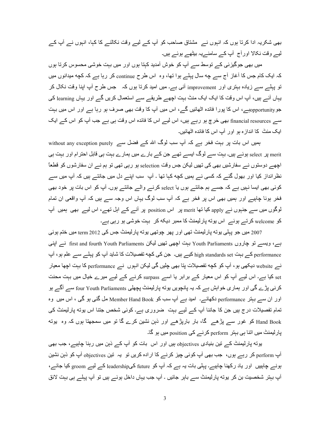بھی شکریہ ادا کرنا ہوں کہ انہوں نے ِ مشتاق صاحب کو آپ کے لیے وقت نکالنے کا کہا، انہوں نے آپ کے لیے وقت نکالا اور آج آپ کے سامنےیہ بیٹھے ہوئے ہیں۔

میں بھی جوگیزئی کے توسط سے آپ کو خوش آمدید کہتا ہوں اور میں بہت خوشی محسوس کرتا ہوں کہ ایک کام جس کا آغاز آج سے چه سال پہلے ہوا تھا، وہ اس طرح continue کر رہا ہے کہ کچه میدانوں میں تو پہلے سے زیادہ بہتری اور improvement آئی ہے۔ میں امید کرتا ہوں کہ جس طرح آپ اپنا وقت نکال کر یہاں آئے ہیں، آپ اس وقت کا ایک ایک منٹ بہت اچھے طریقے سے استعمال کریں گے اور یہاں learning کی جوopportunityہے اس کا پورا فائدہ اٹھائیں گے ، اس میں آپ کا وقت بھی صرف ہو رہا ہے اور اس میں بہت سے financial resources بھی خرچ ہو رہے ہیں، اس لیے اس کا فائدہ اس وقت ہی ہے جب آپ کو اس کے ایک ایک منٹ کا انداز ہ بو اور آپ اس کا فائدہ اٹھائیں۔

ہمیں اس بات پر بہت فخر ہے کہ آپ سب لوگ اللہ کے فضل سے without any exception purely select پر select ہوئے ہیں۔ بہت سے لوگ ایسے تھے جن کے بارے میں ہمارے بہت ہی قابل احترام اور بہت ہی اچھے دوستوں نے سفارشیں بھی کی تھیں لیکن جس وقت selection ہو رہی تھی تو ہم نے ان سفارشوں کو قطعاً نظرانداز کیا اور بھول گئے کہ کسی نے ہمیں کچه کہا تھا ۔ آپ سب اپنے دل میں جانتے ہیں کہ آپ میں سے کوئی بھی ایسا نہیں ہے کہ جسے ہم جانتے ہوں یا select کرنے والے جانتے ہوں۔ آپ کو اس بات پر خود بھی فخر ہونا چاہیے اور ہمیں بھی اس پر فخر ہے کہ آپ سب لوگ یہاں اس وجہ سے ہیں کہ آپ واقعی ان تمام لوگوں میں سے جنہوں نے apply کیا تھا merit پر اس position پر آنے کے اہل تھے، اس لیے بھی ہمیں آپ کو welcome کرتے ہوئے۔ اس یوته پارلیمنٹ کا ممبر دیکه کر۔بہت خوشی ہو رہی ہے۔

2007 میں جو پہلی یوته پارلیمنٹ تھی اور پھر چوتھی یوته پارلیمنٹ جس کی 2012 term میں ختم ہوئی ہے، ویسے نو چاروں Youth Parliaments بہت اچھی نھیں لیکن first and fourth Youth Parliaments نسر اپنی performance کے بہت high standards set کیے بیں۔ جن کی کچه تفصیلات کا شاید آپ کو پہلے سے علم ہو، آپ نے website دیکھی ہو ، آپ کو کچه تفصیلات پنا بھی چلیں گی لیکن انہوں نے performance کا بہت اچھا معیار set کیا ہے۔ اس لیے آپ کو اس معیار کے برابر یا اسے surpass کرنے کے لیے میرے خیال میں بہت محنت کرنی پڑے گی اور ہماری خواہش ہے کہ یہ پانچویں یونه پارلیمنٹ پچھلی four Youth Parliaments سے آگے ہو اور ان سے بہتر performance دکھائے۔ امید ہے آپ سب کو Member Hand Book مل گئی ہو گی ، اس میں وہ تمام تفصیلات درج ہیں جن کا جاننا آپ کے لیے بہت ضروری ہے۔ کوئی شخص جتنا اس یوته پارلیمنٹ کی Hand Book کو غور سے پڑھے گا، بار بارپڑھے اور ذہن نشین کرے گا تو میں سمجھتا ہوں کہ وہ یوته پارلیمنٹ میں اتنا ہی بہتر perform کرنے کی position میں ہو گا۔

یوتہ پارلیمنٹ کے تین بنیادی objectives ہیں اور اس بات کو آپ کے ذہن میں رہنا چاہیے، جب بھی آپ perform کر رہے ہوں، جب بھی آپ کوئی چیز کرنے کا ارادہ کریں تو یہ تین objectives آپ کو ذہن نشین ہونے چاہییں اور یاد رکھنا چاہیے۔ پہلی بات یہ ہے کہ آپ کو future کیleadership کے لیے groom کیا جائے، آپ بہتر شخصیت بن کر یوته پارلیمنٹ سے باہر جائیں ۔ آپ جب یہاں داخل ہوئے ہیں تو آپ پہلے ہی بہت لائق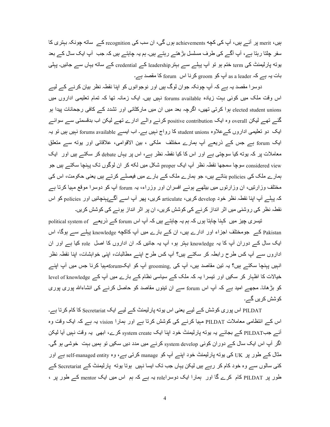بیں، merit پر آئے ہیں، آپ کی کچه achievements ہوں گی، ان سب کی recognition کے ساته چونکہ بہتر ی کا سفر چلتا رہتا ہے، آپ آگے کی طرف مسلسل بڑھتے رہتے ہیں۔ ہم یہ چاہتے ہیں کہ جب آپ ایک سال کے بعد یوته پارلیمنٹ کی term ختم ہو تو آپ پہلے سے بہتر leadership کے credential کے ساته یہاں سے جائیں۔ پہلی بات یہ ہے کہ as a leader آپ کو groom کرنا اس forum کا مقصد ہے۔

دوسرا مقصد یہ ہے کہ آپ چونکہ جوان لوگ ہیں اور نوجوانوں کو اپنا نقطہ نظر بیان کرنے کے لیے اس وقت ملک میں کوئی بہت زیادہ forums available نہیں ہیں۔ ایک زمانہ تھا کہ تمام تعلیمی اداروں میں elected student unions ہوا کرتی تھیں، اگرچہ بعد میں ان میں مارکٹائی اور تشدد کے کافی رجحانات پیدا ہو گئے تھے لیکن overall وہ ایک positive contribution کرنے والے ادارے تھے لیکن اب بدقسمتی سے سوائے ایک دو تعلیمی اداروں کےعلاوہ student unions کا رواج نہیں ہے۔ اب ایسے forums available نہیں ہیں تو یہ ایک forum ہے جس کے ذریعے آپ ہمارے مختلف ملکی ، بین الاقوامی، علاقائی اور یوته سے متعلق معاملات پر کہ یوته کیا سوچتی ہے اور اس کا کیا نقطہ نظر ہے، اس پر یہاں debate کر سکتے ہیں اور ایک onsidered view سوچا سمجھا نقطہ نظر آپ ایک proper شکل میں لکه کر ان لوگوں تک پہنچا سکتے ہیں جو ہمارے ملک کی policies بناتے ہیں، جو ہمارے ملک کے بارے میں فیصلے کرتے ہیں یعنی حکومت، اس کی مختلف وزارتیں، ان وزارتوں میں بیٹھے ہوئے افسران اور وزراء، یہ forum آپ کو دوسرا موقع مہیا کرتا ہے کہ پہلے آپ اپنا نقطہ نظر خود develop کریں، articulate کریں، پھر آپ اسے آگےپہنچائیں اور policies کو اس نقطہ نظر کی روشنی میں اثر انداز کرنے کی کوشش کریں، ان پر اثر انداز ہونے کی کوشش کریں۔

تیسری چیز میں کہنا چاہتا ہوں کہ ہم یہ چاہتے ہیں کہ آپ اس forum کے ذریعے political system of Pakistan کے جومختلف اجزاء اور ادارے ہیں، ان کے بارے میں آپ کاکچه knowledge پہلے سے ہوگا، اس ایک سال کے دوران آپ کا یہ knowledge بہتر ہو، آپ یہ جانیں کہ ان اداروں کا اصل role کیا ہے اور ان اداروں سے آپ کس طرح رابطہ کر سکتے ہیں؟ آپ کس طرح اپنے مطالبات، اپنی خواہشات، اپنا نقطہ نظر انہیں پہنچا سکتے ہیں؟ یہ تین مقاصد ہیں، آپ کی .grooming آپ کو ایکforumمہیا کرنا جس میں آپ اپنے خیالات کا اظہار کر سکیں اور نیسرا یہ کہ ملک کے سیاسی نظام کے بارے میں آپ کے level of knowledge کو بڑھانا۔ مجھے امید ہے کہ آپ اس forum سے ان نینوں مقاصد کو حاصل کرنے کی انشاءاللہ پوری پوری کوشش کریں گے۔

PILDAT اس پوری کوشش کے لیے یعنی اس بوته پارلیمنٹ کے لیے ایک Secretariat کا کام کرتا ہے۔ اس کے انتظامی معاملات PILDAT مہیا کرنے کی کوشش کرتا ہے اور ہمارا vision یہ ہے کہ ایک وقت وہ أئس جبPILDAT كسر بجائسر يہ يوته پارليمنٹ خود اپنا ايك system create كرے، ابھى يہ وقت نہيں آيا ليكن اگر آپ اس ایک سال کے دوران کوئی system develop کرنے میں مدد دیں سکیں تو ہمیں بہت خوشی ہو گی۔ مثال کے طور پر UK کی بوته پارلیمنٹ خود اپنے آپ کو manage کرتی ہے، وہ self-managed entity ہے اور کئی سالوں سے وہ خود کام کر رہے ہیں لیکن یہاں جب تک ایسا نہیں ہوتا یوته پارلیمنٹ کے Secretariat کے طور پر PILDAT کام کرے گا اور ہمارا ایک دوسراrole یہ ہے کہ ہم اس میں ایک mentor کے طور پر ،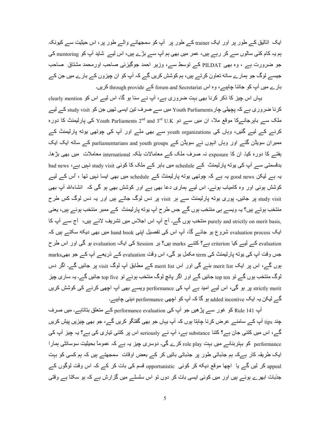ایک اتالیق کے طور پر اور ایک trainer کے طور پر آپ کو سمجھانے والے طور پر ، اس حیثیت سے کیونکہ ہم یہ کام کئی سالوں سے کر رہے ہیں، عمر میں بھی ہم آپ سے بڑے ہیں، اس لیے شاید آپ کو mentoring کی جو ضرورت ہے ، وہ بھی PILDAT کے توسط سے، وزیر احمد جوگیزئی صاحب اورمحمد مشتاق صاحب جیسے لوگ جو ہمارے ساته تعاون کرتے ہیں، ہم کوشش کریں گے کہ آپ کو ان چیزوں کے بارے میں جن کے بارے میں آپ کو جاننا چاہیے، وہ اس forum and Secretariat کے through provide کریں۔

یہاں اس چیز کا ذکر کرنا بھی بہت ضروری ہے، آپ نے سنا ہو گا، اس لیے اس کو clearly mention کرنا ضروری ہے کہ پچھلی چار Youth Parliaments میں سے صرف تین ایسی تھیں جن کو study visit کے لیے ملک سے باہرجانےکا موقع ملا، ان میں سے دو U.K یا Youth Parliaments 2<sup>nd</sup> and 3<sup>rd</sup> کی پارلیمنٹ کا دورہ کرنے کے لیے گئیں، وہاں کی youth organizations سے بھی ملے اور آپ کی چوتھی یوته پارلیمنٹ کے ممبران سویڈن گئے اور وہاں انہوں نے سویڈن کے parliamentarians and youth groups کے ساته ایک ایک بِفتــر کا دورہ کیا۔ ان کا exposure نہ صرف ملک کــر معامالات بلکہ international معاملات میں بھی بڑھا۔ بدقسمتی سے آپ کی یوته پارلیمنٹ کے schedule میں باہر کے ملک کا کوئی study visit نہیں ہے، bad news یہ ہے لیکن good news یہ ہے کہ چوتھی بوته پارلیمنٹ کے schedule میں بھی ایسا نہیں تھا ، اُس کے لیے کوشش ہوئی اور وہ کامیاب ہوئے۔ اس لیے ہماری دعا بھی ہے اور کوشش بھی ہو گی کہ انشاءاللہ آپ بھی study visit بر جائیں۔ بوری بوته بارلیمنٹ سے ہر visit بر دس لوگ جاتے ہیں اور بہ دس لوگ کس طرح منتخب ہوتے ہیں؟ یہ ویسے ہی منتخب ہوں گے جس طرح آپ یوته پارلیمنٹ کے ممبر منتخب ہوئے ہیں، یعنی purely and strictly on merit basis, منتخب ہوں گے۔ آج آپ اس اجلاس میں تشریف لائے ہیں، آج سے آپ کا ایک evaluation process شروع ہو جائے گا، آپ اس کی تفصیل اپنی hand book میں بھی دیکه سکتے ہیں کہ evaluation کے لیے کیا criterion ہے؟ کتنے marks ہیں؟ ہر Session کی ایک evaluation ہو گی اور اس طرح جس وقت آپ کی پوته پارلیمنٹ کی term مکمل ہو گی، اس وقت evaluation کے ذریعے آپ کے جو بھیmarks بوں گے، اس پر ایک merit list بنے گی اور اس merit list کے مطابق آپ لوگ visit پر جائیں گے۔ اگر دس لوگ منتخب ہوں گے تو top ten جائیں گے اور اگر پانچ لوگ منتخب ہوئے تو top five جائیں گے۔ یہ ساری چیز strictly merit پر ہو گی، اس لیے امید ہے اپ کی performance ویسے بھی آپ اچھی کرنے کی کوشش کریں گے لیکن یہ ایک added incentive ہو گا کہ آپ کو اچھی performance دینی چاہیے۔

آپ 141 Rule کو غور سے پڑھیں جو آپ کی performance evaluation کے متعلق بناتاہے۔ میں صرف چند tips آپ کے سامنے عرض کرنا چاہتا ہوں کہ آپ یہاں جو بھی گفتگو کریں گے، جو بھی چیزیں پیش کریں گے، اس میں کتنی جان ہے؟ کتنا substance ہے، آپ نے seriously اس پر کتنی تیاری کی ہے؟ یہ چیز آپ کی performance کو بہتربنانے میں بہت role play کرے گی۔ دوسری چیز یہ ہے کہ عموماً بحیثیت سوسائٹی ہمارا ایک طریقہ کار ہےکہ ہم جذباتی طور پر جذباتی باتیں کر کے بعض اوقات سمجھتے ہیں کہ ہم کسی کو بہت appeal کر لیں گے یا اچھا موقع دیکه کر کوئی opportunistic قسم کی بات کر کے کہ اس وقت لوگوں کے جذبات ابھرے ہوئے ہیں اور میں کوئی ایسی بات کر دوں تو اس سلسلے میں گزارش ہے کہ ہو سکتا ہے وقتی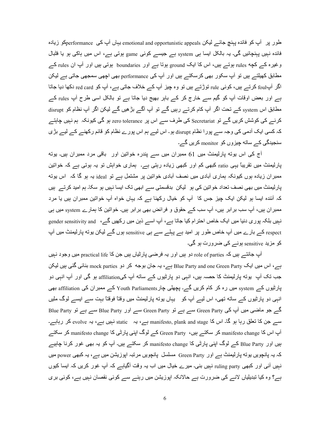طور پر آپ کو فائدہ پہنچ جائے لیکن emotional and opportunistic appeals یہاں آپ کی performanceہو زیادہ فائدہ نہیں پہنچائیں گی۔ یہ بالکل ایسا ہی system ہے جیسے کوئی game ہوتی ہے، اس میں ہاکی ہو یا فتبال وغیرہ کے کچه rules ہوتے ہیں، اس کا ایک ground ہوتا ہے اور boundaries ہوتی ہیں اور آپ ان rules کے مطابق کھیلتے ہیں تو آپ سکور بھی کرسکتے ہیں اور آپ کی performance بھی اچھی سمجھی جاتی ہے لیکن اگر آپ $_{\rm{roll}}$  کرتے ہیں، کوئی rule توڑتے ہیں تو وہ چیز آپ کے خلاف جاتی ہے، آپ کو red card دکھا دیا جاتا ہے اور بعض اوقات آپ کو گیم سے خارج کر کے باہر بھیج دیا جاتا ہے تو بالکل اسی طرح آپ rules کے مطابق اس system کے تحت اگر آپ کام کرتے رہیں گے تو آپ آگے بڑھیں گے لیکن اگر آپ نظام کو disrupt کرنے کی کوشش کریں گے تو Secretariat کی طرف سے اس پر zero tolerance ہو گی کیونکہ ہم نہیں چاہتے کہ کسی ایک آدمی کی وجہ سے پورا نظام disrupt ہو۔ اس لیے ہم اس پورے نظام کو قائم رکھنے کے لیے بڑی سنجیدگی کے ساته چیزوں کو monitor کریں گے۔

آج کی اس یوته پارلیمنٹ میں 61 ممبران میں سے پندرہ خواتین اور باقی مرد ممبران ہیں۔ یوته پارلیمنٹ میں تقریباً یہی ratio کبھی کم اور کبھی زیادہ رہتی ہے۔ ہماری خواہش تو یہ ہوتی ہے کہ خواتین ممبر ان زیادہ ہوں کیونکہ ہماری آبادی میں نصف آبادی خواتین پر مشتمل ہے تو ideal یہ ہو گا کہ اس یوته پار لیمنٹ میں بھی نصف تعداد خواتین کی ہو لیکن بدقسمتی سے ابھی تک ایسا نہیں ہو سکا۔ ہم امید کرتے ہیں کہ آئندہ ایسا ہو لیکن ایک چیز جس کا آپ کو خیال رکھنا ہے کہ یہاں خواہ آپ خواتین ممبران ہیں یا مرد ممبر ان ہیں، آپ سب بر ابر ہیں، آپ سب کے حقوق و فرائض بھی بر ابر ہیں۔ خواتین کا ہمارے system میں ہی نہیں بلکہ پور ی دنیا میں ایک خاص احتر ام کیا جاتا ہے، آپ اسے ذہن میں رکھیں گے، gender sensitivity and respect کے بارے میں آپ خاص طور پر امید ہے پہلے سے ہی sensitive ہوں گے لیکن یوته پارلیمنٹ میں آپ کو مزید sensitive ہونے کی ضرورت ہو گی۔

آپ جانتـــر ہیں کہ role of parties دو ہیں اور یہ فرضــی پارٹیاں ہیں جن کا practical life میں وجود نـہیں ہے، اس میں ایک Blue Party and one Green Party ہے، یہ جان بوجه کر دو mock parties بنائی گئی ہیں لیکن جب تک آپ بوته پارليمنٹ کا حصہ ہيں، انہی دو پارٹيوں کے ساته آپ کیaffiliation ہو گی اور آپ انہی دو پارٹیوں کے system میں رہ کر کام کریں گے۔ پچھلی چارPouth Parliaments کے ممبران کی affiliation بھی انہی دو پارٹیوں کے ساته تھی، اس لیے آپ کو یہاں یونه پارلیمنٹ میں وقتاً فوقتاً بہت سے ایسے لوگ ملیں گے جو ماضی میں آپ کی Green Party سے ہے تو Green Party سے اور Blue Party سے ہے تو Blue Party سے جن کا تعلق رہا ہو گا۔ اس کا manifesto, plank and stage ہے، یہ static نہیں ہے، یہ evolve کر رہاہے۔ آپ اس کا manifesto change کر سکتے ہیں، Green Party کے لوگ اپنی پارٹی کا manifesto change کر سکتے بیں اور Blue Party کے لوگ اپنی پارٹی کا manifesto change کر سکتے ہیں۔ آپ کو یہ بھی غور کرنا چاہیے کہ یہ پانچویں بوته پارلیمنٹ ہے اور Green Party مسلسل پانچویں مرتبہ اپوزیشن میں ہے، یہ کبھی power میں نہیں آئی اور کبھی ruling party نہیں بنی۔ میرے خیال میں اب یہ وقت آگیاہے کہ آپ غور کریں کہ ایسا کیوں ہے؟ وہ کیا تبدیلیاں لانے کی ضرورت ہے حالانکہ اپوزیشن میں رہنے سے کوئی نقصان نہیں ہے، کوئی بری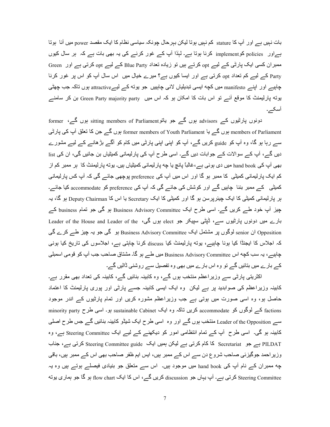بات نہیں ہے اور آپ کا stature کم نہیں ہوتا لیکن بہرحال چونکہ سیاسی نظام کا ایک مقصد power میں آنا ہوتا ہے اور policies کوimplement کرنا ہوتا ہے۔ لہٰذا آپ کے غور کرنے کی یہ بھی بات ہے کہ ہر سال کیوں ممبر ان کسی ایک پارٹی کے لیے opt کرتے ہیں تو زیادہ تعداد Blue Party کے لیے opt کرتی ہے اور Green Party کے لیے کم تعداد opt کرتی ہے اور ایسا کیوں ہے؟ میرے خیال میں اس سال آپ کو اس پر غور کرنا چاہیے اور اپنے manifesto میں کچه ایسی تبدیلیاں لانی چاہییں جو یوته کے لیےeattractive ہوں تاکہ جب چھٹی بوته پارلیمنٹ کا موقع آئے تو اس بات کا امکان ہو کہ اس میں Green Party majority party بن کر سامنے أسكر.

دونوں پارٹیوں کے advisors ہوں گے جو باتو sitting members of Parliament ہوں گے، former members of Parliament ہوں گے یا former members of Youth Parliament ہوں گے جن کا تعلق آپ کی پارٹی سے رہا ہو گا، وہ آپ کو guide کریں گے، آپ کو اپنی اپنی پارٹی میں کام کو آگے بڑھانے کے لیے مشورے دیں گے ، آپ کے سوالات کے جوابات دیں گے۔ اسی طرح آپ کی پارلیمانی کمیٹیاں بن جائیں گی، ان کی list بھی آپ کی hand book میں دی ہوئی ہے،غالباً پانچ یا چه پار لیمانی کمیٹیاں ہیں۔ یوته پار لیمنٹ کا ہر ممبر کم از کم ایک پارلیمانی کمیٹی کا ممبر ہو گا اور اس میں آپ کی preference پوچھی جائے گی کہ آپ کس پارلیمانی کمیٹی کے ممبر بننا چاہیں گے اور کوشش کی جائے گی کہ آپ کی preference کو accommodate کیا جائے۔ بر بارلیمانی کمیٹی کا ایک جیئرپرسن ہو گا اور کمیٹی کا ایک Secretary یا اس کا Deputy Chairman ہو گا، یہ چیز آپ خود طے کریں گے۔ اسی طرح ایک Business Advisory Committee ہو گی جو تمام business کے بارے میں دونوں پارٹیوں سے، ڈپٹی سپیکر جو elect ہوں گی، Leader of the House and Leader of the opposition ان senior لوگوں پر مشتمل ایک Business Advisory Committee ہو گی جو یہ چیز طے کرے گی کہ اجلاس کا ایجنڈا کیا ہونا چاہیے، یوته پارلیمنٹ کیا discuss کرنا چاہتی ہے، اجلاسوں کی تاریخ کیا ہونی چاہیے، یہ سب کچه اس Business Advisory Committee میں طے ہو گا۔ مشتاق صاحب جب آپ کو قومی اسمبلی کے بارے میں بتائیں گے تو وہ اس بارے میں بھی وہ تفصیل سے روشنی ڈالیں گے۔

اکثریتی پارٹی سے وزیراعظم منتخب ہوں گے، وہ کابینہ بنائیں گے، کابینہ کی تعداد بھی مقرر ہے۔ کابینہ وزیراعظم کی صوابدید بر ہے لیکن ً وہ ایک ایسی کابینہ جسے بارٹی اور یوری بارلیمنٹ کا اعتماد حاصل ہو، وہ اسی صورت میں ہوتی ہے جب وزیراعظم مشورہ کریں اور تمام پارٹیوں کے اندر موجود factions کے لوگوں کو accommodate کریں ناکہ وہ ایک sustainable Cabinet ہو۔ اسی طرح minority party سے Leader of the Opposition منتخب ہوں گے اور وہ اسی طرح ایک شیڈو کابینہ بنائیں گے جس طرح اصلی کابینہ ہو گی۔ اسی طرح آپ کے تمام انتظامی امور کو دیکھنے کے لیے ایک Steering Committee ہے، وہ PILDAT ہے جو Secretariat کا کام کرتی ہے لیکن ہمیں ایک Steering Committee guide کرتی ہے، جناب وزیر احمد جوگیزئی صاحب شروع دن سے اس کے ممبر ہیں، ایس ایم ظفر صاحب بھی اس کے ممبر ہیں، باقی چه ممبران کے نام آپ کی hand book میں موجود ہیں۔ اس سے متعلق جو بنیادی فیصلے ہوتے ہیں وہ یہ Steering Committee کرتی ہے۔ آپ یہاں جو discussion کریں گے، اس کا ایک flow chart ہو گا جو ہماری یونه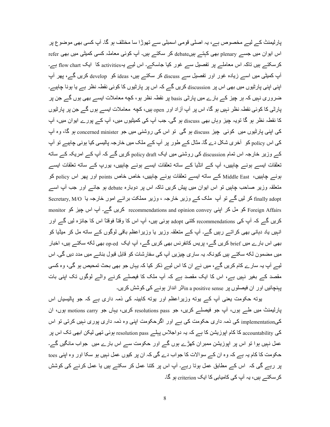پارلیمنٹ کے لیے مخصوص ہے، یہ اصلی قومی اسمبلی سے تھوڑا سا مختلف ہو گا۔ آپ کسی بھی موضوع پر اس ایوان میں جسے plenary بھی کہتے ہیںdebate کر سکتے ہیں۔ آپ کوئی معاملہ کسی کمیٹی میں بھی refer کرسکتے ہیں تاکہ اس معاملے پر تفصیل سے غور کیا جاسکے۔ اس لیے یہactivities کا ایک flow chart ہے۔ آپ کمیٹی میں اسے زیادہ غور اور نفصیل سے discuss کر سکتے ہیں، ideas کو develop کریں گے، پھر آپ اپنی اپنی پارٹیوں میں بھی اس پر discussion کریں گے کہ اس پر پارٹیوں کا کوئی نقطہ نظر ہے یا ہونا چاہیے۔ ضروری نہیں کہ ہر چیز کے بارے میں پارٹی basis پر نقطہ نظر ہو، کچه معاملات ایسے بھی ہوں گے جن پر پارٹی کا کوئی نقطہ نظر نہیں ہو گا، اس پر آپ آزاد اور <sub>Open</sub> ہیں، کچه معاملات ایســـر ہوں گـــر جن پر پارٹیوں کا نقطہ نظر ہو گا تویہ چیز وہاں بھی discuss ہو گی۔ جب آپ کی کمیٹیوں میں، آپ کے پور ے ایوان میں، آپ کی اپنی پارٹیوں میں کوئی چیز discuss ہو گی تو اس کی روشنی میں جو concerned minister ہو گا، وہ آپ کی اس policy کو آخری شکل دے گا۔ مثال کے طور پر آپ کے ملک میں خارجہ پالیسی کیا ہونی چاہیے تو آپ کے وزیر خارجہ اس تمام discussion کی روشنی میں ایک policy draft کریں گے کہ آپ کے امریکہ کے ساته تعلقات ایسے ہونے چاہییں، آپ کے انڈیا کے ساته تعلقات ایسے ہونے چاہییں، یورپ کے ساته تعلقات ایسے ہونسہ چاہییں، Middle East کسر ساته ایسسہ تعلقات ہونسہ چاہییں، خاص points اور پھر اس policy کو متعلقہ وزیر صاحب چاہیں تو اس ایوان میں پیش کریں تاکہ اس پر دوبارہ debate ہو جائـــہ اور جب آپ اســـہ finally adopt کر لیں گے تو آپ ملک کے وزیر خارجہ ، وزیر مملکت برائے امور خارجہ با Secretary, M/O monitor کو مل کر اپنی recommendations and opinion convey کریں گے۔ آپ اس چیز کو monitor کریں گے کہ آپ کی recommendations کتنی adopt ہوئی ہیں، آپ اس کا وقتاً فوقتاً اس کا جائزہ لیں گے اور انہیں یاد دہانی بھی کراتے رہیں گے۔ آپ کے متعلقہ وزیر یا وزیراعظم باقی لوگوں کے ساته مل کر میڈیا کو بھی اس بار ے میں brief کر پں گے ، پر پس کانفر نس بھی کر پں گے ، آپ ایک <sub>op-ed</sub> بھی لکه سکتے ہیں، اخبار میں مضمون لکه سکتے ہیں کیونکہ یہ ساری چیزیں آپ کی سفارشات کو قابل قبول بنانے میں مدد دیں گی۔ اس لیے آپ یہ سارے کام کریں گے، میں نے ان کا اس لیے ذکر کیا کہ یہاں جو بھی بحث تمحیص ہو گی، و. کسی مقصد کہ بغیر نہیں ہے، اس کا ایک مقصد ہے کہ آپ ملک کا فیصلے کرنے والے لوگوں تک اپنی بات یبنچائیں اور ان فیصلوں پر in a positive sense انٹر انداز ہونے کی کوشش کریں۔

بوته حکومت یعنی آپ کے بوته وزیر اعظم اور بوته کابینہ کی ذمہ داری ہے کہ جو پالیسیاں اس پارليمنٹ ميں طے ہوں، آپ جو فيصلے كريں، جو resolutions pass كريں، يہاں جو motions carry ہوں، ان کیimplementation کی ذمہ داری حکومت کی ہے اور اگرحکومت اپنی وہ ذمہ داری پوری نہیں کرتی تو اس کی accountability کا کام اپوزیشن کا ہے کہ یہ دواجلاس پہلے resolution pass ہوئی تھی لیکن ابھی تک اس پر عمل نہیں ہوا تو اس پر اپوزیشن ممبران کھڑے ہوں گے اور حکومت سے اس بارے میں جواب مانگیں گے۔ حکومت کا کام یہ ہے کہ وہ ان کے سوالات کا جواب دے گی کہ ان پر کیوں عمل نہیں ہو سکا اور وہ اپنی toes پر رہے گی کہ اس کے مطابق عمل ہوتا رہے۔ آپ اس پر کتنا عمل کر سکتے ہیں یا عمل کرنے کی کوشش کر سکتے ہیں، یہ آپ کی کامیابی کا ایک criterion ہو گا۔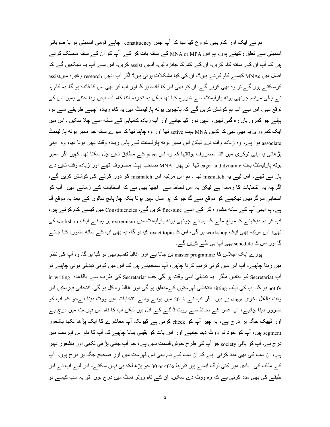ہم نے ایک اور کام بھی شروع کیا تھا کہ آپ جس constituency چاہے قومی اسمبلی ہو یا صوبائی اسمبلی سے تعلق رکھتے ہوں، ہم اس MNA or MPA کے ساته بات کر کے آپ کو ان کے ساته منسلک کرتے ہیں کہ آپ ان کے ساته کام کریں، ان کے کام کا جائزہ لیں، انہیں assist کریں، اس سے آپ یہ سیکھیں گے کہ اصل میں MNAs کیسے کام کرتے ہیں؟، ان کی کیا مشکلات ہوتی ہیں؟ اگر آپ انہیں research و غیرہ میںassist کر سکتے ہوں گے تو وہ بھی کریں گے۔ ان کو بھی اس کا فائدہ ہو گا اور آپ کو بھی اس کا فائدہ ہو گا۔ یہ کام ہم نے پہلی مرتبہ چوتھی پوته پارلیمنٹ سے شروع کیا تھا لیکن یہ تجربہ اتنا کامیاب نہیں رہا جتنی ہمیں اس کی توقع تھی۔ اس لیے اب ہم کوشش کریں گے کہ پانچویں یوته پارلیمنٹ میں یہ کام زیادہ اچھے طریقے سے ہو ، پہلے جو کمزوریاں رہ گئی تھیں، انہیں دور کیا جائے اور آپ زیادہ کامیابی کے ساته اسے چلا سکیں ۔ اس میں ایک کمزوری یہ بھی تھی کہ کہیں MNA بہت active تھا اور وہ چاہتا تھا کہ میرے ساته جو ممبر بوته پارلیمنٹ associate ہوا ہے، وہ زیادہ وقت دے لیکن اس ممبر یوته پارلیمنٹ کے پاس زیادہ وقت نہیں ہوتا تھا، وہ اپنی پڑ ہائبی یا اپنبی نوکری میں اتنا مصروف ہوناتھا کہ وہ اس pace کے مطابق نہیں چل سکتا تھا۔ کہیں اگر ممبر بوته پارلیمنٹ بہت eager and dynamic تھا تو پھر MNA صاحب بہت مصروف تھے اور زیادہ وقت نہیں دے پار ہے تھے، اس لیے یہ mismatch تھا ۔ ہم اس مرتبہ اس mismatch کو دور کرنے کی کوشش کریں گے، اگرچہ یہ انتخابات کا زمانہ ہے لیکن یہ اس لحاظ سے اچھا بھی ہے کہ انتخابات کے زمانے میں آپ کو انتخابی سرگرمیاں دیکھنے کو موقع ملے گا جو کہ ہر سال نہیں ہوتا بلکہ چارپانچ سالوں کے بعد یہ موقع آتا ہے۔ ہم ابھی آپ کے ساته مشورہ کر کے اسے fine-tune کریں گے۔ Constituencies میں کیسے کام کرتے ہیں، آپ کو یہ دیکھنے کا موقع ملے گا۔ ہم نے چوتھی یوته پارلیمنٹ میں extremism پر ہم نے ایک workshop کی تھی، اس مرتبہ بھی ایک workshop ہو گی، اس کا exact topic کیا ہو گا، یہ بھی آپ کے ساته مشورہ کیا جائے گا اور اس کا schedule بھی آپ ہی طے کریں گے۔

پورے ایک اجلاس کا master programme بن جاتا ہے اور غالباً تقسیم بھی ہو گیا ہو گا۔ وہ آپ کی نظر میں رہنا چاہیے، آپ اس میں کوئی ترمیم کرنا چاہیں، آپ سمجھتے ہیں کہ اس میں کوئی تبدیلی ہونی چاہیے تو in writing کو بتائیں مگر یہ تبدیلی اسی وقت ہو گی جب Secretariat کی طرف سے باقاعدہ in writing notify ہو گا۔ آپ کی ایک sitting انتخابی فبرستوں کےمتعلق ہو گی اور غالباً وہ کل ہو گی۔ انتخابی فبرستیں اس وقت بالکل آخری stage پر ہیں۔ اگر آپ نے 2013 میں ہونے والے انتخابات میں ووٹ دینا ہےجو کہ آپ کو ضرور دینا چاہیے، آپ عمر کے لحاظ سے ووٹ ڈالنے کے اہل ہیں لیکن آپ کا نام اس فہرست میں درج ہے اور ٹھیک جگہ پر درج ہے، یہ چیز آپ کو check کرنے ہے کیونکہ آپ معاشرے کا ایک پڑھا لکھا باشعور egment ہیں، آپ کو خود تو ووٹ دینا چاہیے اور اس بات کو یقینی بنانا چاہیے کہ آپ کا نام اس فہرست میں در ج ہے۔ آپ کو باقی society جو آپ کی طرح خوش قسمت نہیں ہے، جو آپ جتنی پڑ ھی لکھی اور باشعور نہیں ہے، ان سب کی بھی مدد کرنی ہے کہ ان سب کے نام بھی اس فہرست میں اور صحیح جگہ پر در ج ہوں۔ آپ کے ملک کی آبادی میں کئی لوگ ایسے ہیں تقریباً %10 or 40 جو پڑ ھ لکه ہی نہیں سکتے، اس لیے آپ نے اس طبقے کی بھی مدد کرنی ہے کہ وہ ووٹ دے سکیں، ان کے نام ووٹر لسٹ میں درج ہوں تو یہ سب کیسے ہو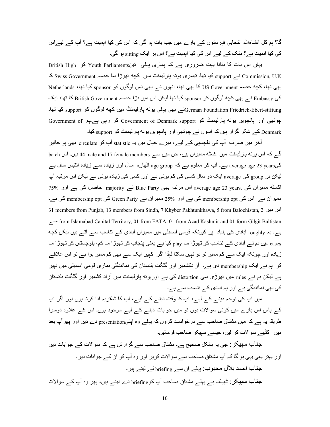گا؟ ہم کل انشاءاللہ انتخابی فہرستوں کے بارے میں جب بات ہو گی کہ اس کی کیا اہمیت ہے؟ آپ کے لیےاس کی کیا اہمیت ہے؟ ملک کے لیے اس کی کیا اہمیت ہے؟ اس بر ایک sitting ہو گی۔

British High کو Youth Parliaments کو British High کو British High Commission, U.K نے support کیا تھا۔ تیسری بوته پارلیمنٹ میں کچه تھوڑا سا حصہ Swiss Government کا S بھی تھا، کچه حصہ US Government کا بھی تھا، انہوں نے ہی دس لوگوں کو sponsor کیا تھا، Netherlands کی Embassy نے بھی کچه لوگوں کو sponsor کیا تھا لیکن اس میں بڑا حصہ British Government کا تھا، ایک ۔F`f F.n support Xn ںX|X2 n ں.G ٹa6.2رFy fXV mDہy m`+ ے}German Foundation Friedrich-Ebert-stiftung چوتھی اور پانچویں بوته پارلیمنٹ کو Government of Denmark support کر رہی ہےہم Government of Denmark کے شکر گزار ہیں کہ انہوں نے چوتھی اور پانچویں پوته پارلیمنٹ کو support کیا۔

آخر میں صرف آپ کی دلچسپی کے لیے، میرے خیال میں یہ statistic آپ کو circulate بھی ہو جائیں گے کہ اس بوته پارلیمنٹ میں اکسٹه ممبر ان ہیں، جن میں سے 44 male and 17 female members ہیں۔ اس batch کےaverage age 23 years ہے۔ آپ کو معلوم ہے کہ age group اٹھارہ سال اور زیادہ سے زیادہ انتیس سال ہے لیکن ہر group کی average ایک دو سال کسی کی کم ہوتی ہے اور کسی کی زیادہ ہوتی ہے لیکن اس مرتبہ آپ اکسٹه ممبران کی .average age 23 years اس مرتبہ بھی Blue Party نے majority حاصل کی ہے اور 75% ممبر ان نے اس کی membership opt کی ہے اور 25% ممبر ان نے Green Party کی membership opt کی ہے۔ 31 members from Punjab, 13 members from Sindh, 7 Khyber Pakhtunkhawa, 5 from Balochistan, 2 ےA from Islamabad Capital Territory, 01 from FATA, 01 from Azad Kashmir and 01 form Gilgit Baltistan ہے۔ یہ roughly آبادی کی بنیاد پر کیونکہ قومی اسمبلی میں ممبر ان آبادی کے تناسب سے آتے ہیں لیکن کچه cases میں ہم نے آبادی کے تناسب کو تھوڑا سا play کیا ہے یعنی پنجاب کو تھوڑا سا کم، بلوچستان کو تھوڑا سا زیادہ اور جونکہ ایک سے کم ممبر تو ہو نہیں سکتا لہٰذا اگر کہیں ایک سے بھی کم ممبر ہوا ہے تو اس علاقے کو ہم نے ایک membership دی ہے۔ آز ادکشمیر اور گلگت بلتستان کی نمائندگی ہماری قومی اسمبلی میں نہیں بے لیکن ہم نے rules میں تھوڑی سی distortion کی ہے اوریوته پارلیمنٹ میں آزاد کشمیر اور گلگت بلتستان کی بھی نمائندگی ہے اور پہ آبادی کے تناسب سے ہے۔

میں آپ کی توجہ دینے کے لیے، آپ کا وقت دینے کے لیے، آپ کا شکریہ ادا کرتا ہوں اور اگر آپ کے پاس اس بارے میں کوئی سوالات ہوں تو میں جوابات دینے کے لیے موجود ہوں۔ اس کے علاوہ دوسرا طریقہ یہ ہے کہ میں مشتاق صاحب سے درخواست کروں کہ پہلے وہ اپنیpresentation دے دیں اور پھر آپ بعد میں۔اکٹھے سوالات کر لیں، جیسے سیپکر صاحب فرمائیں۔

جذاب سپیکر : جی یہ بالکل صحیح ہے۔ مشتاق صاحب سے گزارش ہے کہ سوالات کے جوابات دیں اور ببتر بھی یہی ہو گا کہ آپ مشتاق صاحب سے سوالات کریں اور وہ آپ کو ان کے جوابات دیں۔ جناب احمد بلال محبوب: پہلے ان سے briefing لے لیتے ہیں۔ جناب سپیکر : ٹھیک ہے پہلے مشتاق صاحب آپ کوbriefing دے دیتے ہیں، پھر وہ آپ کے سوالات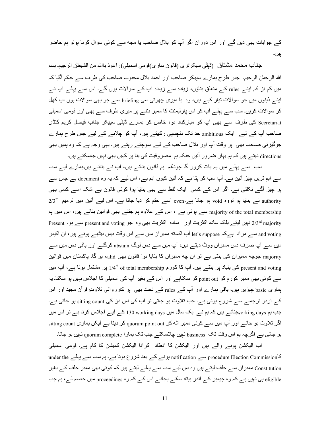کے جوابات بھی دیں گے اور اس دوران اگر آپ کو بلال صاحب یا مجه سے کوئی سوال کرنا ہوتو ہم حاضر بیں۔

جناب محمد مشتاق (تُبِتِّي سيكر تُرى (قانون سازي)قومي اسمبلي): اعوذ باالله من الشيطل الرجيم. بسم الله الرحمٰن الرحيم. جس طرح ہمارے سيپكر صاحب اور احمد بلال محبوب صاحب كى طرف سے حكم آگيا كہ میں کم از کم اپنے rules کے منعلق بناؤں، زیادہ سے زیادہ آپ کے سوالات ہوں گے۔ اس سے پہلے آپ نے اپنے ذہنوں میں جو سوالات تیار کیے ہیں، وہ یا میری چھوٹی سی briefing سے جو بھی سوالات ہوں آپ کھل کر سوالات کریں۔ سب سے پہلے آپ کو اس پارلیمنٹ کا ممبر بننے پر میری طرف سے بھی اور قومی اسمبلی Secretariat کی طرف سے بھی آپ کو مبارکباد ہو، خاص کر ہمارے ڈپٹی سپیکر جناب فیصل کریم کنڈی صاحب آپ کے لیے۔ ایک ambitious حد تک دلچسپی رکھتے ہیں، آپ کو چلانے کے لیے جس طرح ہمارے جوگیزئی صاحب بھی ہر وقت آپ اور بلال صاحب کے لیے سوچتے رہتے ہیں۔ یہی وجہ ہے کہ وہ ہمیں بھی directions دیتــــر ہیں کہ ہم یہاں ضرور آئیں جبکہ ہم مصر وفیت کی بنا پر کہیں بھی نہیں جاسکتـــر ہیں۔

سب سے پہلے میں یہ بات کروں گا چونکہ ہم قانون بناتے ہیں، آپ نے بنانے ہیں۔ہمارے لیے سب سے اہم ترین چیز آئین ہے۔ آپ سب کو پتا ہے کہ آئین کیوں اہم ہے، اس لیے کہ یہ وہ document ہے جس سے ہر چیز آگے نکلتی ہے۔ اگر اس کے کسی ایک لفظ سے بھی بنایا ہوا کوئی قانون بے شک اسے کسی بھی authority نے بنایا ہو نووہ void ہو جاتا ہے،even اسے ختم کر دیا جاتا ہے۔ اس لیے آئین میں نرمیم 2/3rd majority of the total membership سے ہوتی ہے ، اس کے علاوہ ہم جتنے بھی قوانین بناتے ہیں، اس میں ہم 2/3rd majority نہیں لیتے بلکہ سادہ اکثریت اور سادہ اکثریت بھی وہ جو present and voting سے ہو۔ Present and voting سے مراد ہےکہ let's suppose آپ اکسٹه ممبران میں سے اس وقت بیس بیٹھے ہوئے ہیں، ان اکیس میں سے آپ صرف دس ممبران ووٹ دیتے ہیں، آپ میں سے دس لوگ abstain کرگئے اور باقی دس میں سے majority جوچه ممبران کی بنتی ہے تو ان چه ممبران کا بنایا ہوا قانون بھی valid ہو گا۔ پاکستان میں قوانین present and voting کی بنیاد پر بنتے ہیں۔ آپ کا کورم 1/4th of total membership پر مشتمل ہوتا ہے، آپ میں سے کوئی بھی ممبر کورم کو point out کر سکتاہے اور اس کے بغیر آپ کی اسمبلی کا اجلاس نہیں ہو سکتا۔ یہ ہماری basic چیزیں ہیں، باقی ہمارے اور آپ کے rules کے تحت بھی ہر کارروائی تلاوتِ قرآن مجید اور اس کے اردو ترجمے سے شروع ہوتی ہے۔ جب تلاوت ہو جاتی تو آپ کی اس دن کی sitting count ہو جاتی ہے۔ جب ہم working daysبناتے ہیں کہ ہم نے ایک سال میں l30 working days کے لیے اجلاس کرنا ہے تو اس میں اگر تلاوت ہو جائے اور آپ میں سے کوئی ممبر اٹه کر quorum point out کر دیتا ہے لیکن ہماری sitting count ہو جاتی ہے اگرچہ ہم اس وقت تک business نہیں چلاسکتے جب تک ہمار ا quorum complete نہیں ہو جاتا۔

اب الیکشن بونے والے ہیں اور الیکشن کا انعقاد کرانا الیکشن کمیشن کا کام ہے۔ قومی اسمبلی کاnotification سے procedure Election Commission ہونے کے بعد شروع ہوتا ہے۔ ہم سب سے پہلے under the Constitution ممبر ان سے حلف لیتے ہیں وہ اس لیے سب سے پہلے لیتے ہیں کہ کوئی بھی ممبر حلف کے بغیر eligible ہی نہیں ہے کہ وہ چیمبر کے اندر بیٹه سکے بجائے اس کے کہ وہ proceedings میں حصہ لے، ہم جب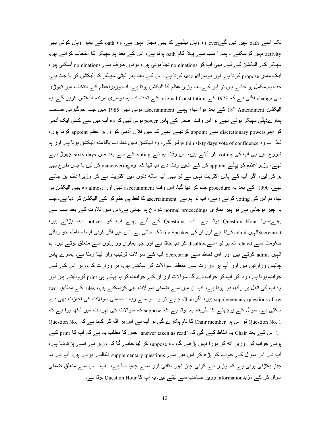تک اسے oath نہیں دیں گےeven وہ وہاں بیٹھے کا بھی مجاز نہیں ہے۔ وہ oath کے بغیر وہاں کوئی بھی activity نہیں کرسکتے ۔ ہمارا سب سے پہلا کام oath ہوتا ہے، اس کے بعد ہم سپیکر کا انتخاب کراتے ہیں۔ سپیکر کے الیکشن کے لیے بھی آپ کو nominations دینا ہوتی ہیں، دونوں طرف سے nominations اُسکتی ہیں، ایک ممبر propose کرتا ہے اور دوسراsecond کرتا ہے۔ اس کے بعد پھر ڈپٹی سپیکر کا الیکشن کرایا جاتا ہے۔ جب یہ مکمل ہو جاتے ہیں تو اس کے بعد وزیر اعظم کا الیکشن ہوتا ہے۔ اب وزیر اعظم کے انتخاب میں تھوڑی سی change آگئی ہے کہ 1973 کے original Constitution کے نحت اب ہم دوسری مرتبہ الیکشن کریں گے۔ یہ اليكشن I8th Amendment كسر بعد بوا تها، بِهِلْسر ascertainment بوتى تهى 1985 ميں جب جوگيزئى صاحب ہمار ےڈپٹی سپیکر ہوتے تھے تو اس وقت صدر کے پاس power ہوتی تھی کہ وہ آپ میں سے کسی ایک آدمی کو اپنیappoint سے appoint سے appoint کردیتے تھے کہ میں فلاں آدمی کو وزیراعظم appoint کرتا ہوں، لمبذا اب وہ within sixty days vote of confidence لیں گے ، وہ الیکشن نہیں تھا۔ اب باقاعدہ الیکشن ہوتا ہے اور ہم شروع میں ہی آپ کی voting کر لیتے ہیں، اس وقت ہم نے voting کے لیے بعد میں sixty days چھوڑ دیے تھے، وزیراعظم کو پہلے appoint کر کے انہیں وقت دے دیا تھا کہ وہ maneuvering کر لیں یا جس طرح بھی ہو کر لیں، اگر آپ کے پاس اکثریت نہیں ہے تو بھی آپ ساٹه دنوں میں اکثریت لے کر وزیراعظم بن جاتے تھے۔ 1990 کے بعد یہ procedure ختم کر دیا گیا۔ اس وقت ascertainment تھی اور almost وہ بھی الیکشن ہی تھا، ہم اس کی voting کرتے رہے، اب تو ہم نے ascertainment کا لفظ ہی ختم کر کے الیکشن کر دیا ہے۔ جب یہ چیز ہوجاتی ہے تو پھر ہماری normal proceedings شروع ہو جاتی ہے۔اس میں تلاوت کے بعد سب سے پہلےہمارا Question Hour ہوتا ہے۔ اب Questions کے لیے پہلے آپ کو notices دینا پڑتے ہیں، secretariatانہیں admit کرتا ہے اور ان کی file Speaker تک جاتی ہے۔ اس میں اگر کوئی ایسا معاملہ جو وفاقی حکومت سے related نہ ہو تو اسےdisallow کر دیا جاتا ہے اور جو ہماری وزارتوں سے متعلق ہوتے ہیں، ہم انہیں admit کرتے ہیں اور اس لحاظ سے Secretariat آپ کے سوالات ترتیب وار لیتا رہتا ہے۔ ہمارے پاس چالیس وزارتیں ہیں اور آپ ہر وزارت سے متعلقہ سوالات کر سکتے ہیں، ہر وزارت کا وزیر اس کے لیے جوابدہ ہوتا ہے، وہ آکر آپ کو جواب دے گا۔ سوالات اور ان کے جوابات کو ہم پہلے ہی print کروالیتے ہیں اور وہ آپ کی ٹیبل پر رکھا ہوا ہوتا ہے، آپ ان میں سے ضمنی سوالات بھی کرسکتے ہیں، rules کے مطابق two supplementary questions allow بیں، اگر Chair چاہے تو وہ دو سے زیادہ ضمنی سوالات کی اجازت بھی دے سکتی ہے۔ سوال کے پوچھنے کا طریقہ یہ ہوتا ہے کہ suppose کہ سوالات کی فہرست میں لکھا ہوا ہے کہ Question No. 1 تو اس پر Chair member کا نام پکارے گی تو آپ نے اس پر اٹه کر کہنا ہے کہ Question No. 1 1٫ اس کے بعد Chair یہ الفاظ کہے گی کہ 'answer taken as read' جس کا مطلب یہ ہے کہ آپ کا print کیے ہوئے جواب کو وزیر اٹه کر پورا نہیں پڑھے گا، وہ suppose کر لیا جائے گا کہ وزیر نے اسے پڑھ دیا ہے، آپ نے اس سوال کے جواب کو پڑھ کر اس میں سے supplementary questions نکالنے ہوتے ہیں۔ آپ نے یہ چیز پکڑنی ہوتی ہے کہ وزیر نے کوئی چیز نہیں بتائی اور اسے چھپا دیا ہے، آپ اس سے متعلق ضمنی سوال کر کے مزیدinformation وزیر صاحب سے لیتے ہیں۔ یہ آپ کا Question Hour ہوتا ہے۔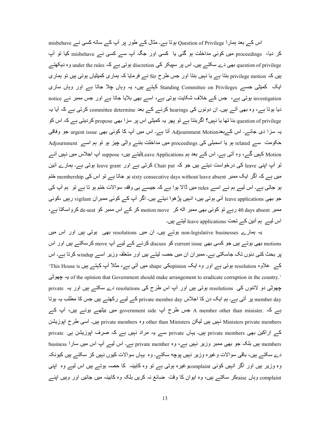اس کے بعد ہمارا Question of Privilege ہوتا ہے۔ مثال کے طور پر آپ کے ساته کسی نے misbehave کر دیا، proceedings میں کوئی مداخلت ہو گئی یا کسی اور جگہ آپ سے کسی نے misbehave کیا تو آپ question of privilege بھی دے سکتے ہیں۔ اس پر سپیکر کی discretion ہوتی ہے کہ under the rules وہ دیکھتے ہیں کہ privilege motion ہنتا ہے یا نہیں بنتا اور جس طرح Sir نے فرمایا کہ ہماری کمیٹیاں ہوتی ہیں تو ہمار ی ایک کمیٹی جسے Standing Committee on Privileges کہتے ہیں، یہ وہاں چلا جاتا ہے اور وہاں ساری investigation ہوتی ہے، جس کے خلاف شکایت ہوتی ہے، اسے بھی بلایا جاتا ہے اور جس ممبر نے notice دیا ہوتا ہے، وہ بھی آتے ہیں۔ ان دونوں کی hearings کرنے کے بعد committee determine کرتی ہے کہ آیا یہ question of privilege بنا تھا یا نہیں؟ اگربنتا ہے تو پھر یہ کمیٹی اس پر سزا بھی propose کردیتی ہے کہ اس کو یہ سزا دی جائے۔ اس کے بعدAdjournment Motion آنا ہے۔ اس میں آپ کا کوئی بھی urgent issue جو وفاقی حکومت سے related ہو یا اسمبلی کی proceedings میں مداخلت بننے والی چیز ہو تو ہم اسے Adjournment Motion کہیں گے، وہ آتی ہے۔ اس کے بعد ہم Leave Applicationsلیتے ہیں، suppose آپ اجلاس میں نہیں آئے تو آپ اپنی leave کی درخواست دیتے ہیں جو کہ Chair put کرتی ہے اور leave grant ہوتی ہے۔ ہمارے آئین میں ہے کہ اگر ایک ممبر sixty consecutive days without leave absent ختم membership ہو جاتا ہے تو اس کی ہو جاتی ہے۔ اس لیے ہم نے اسے rules میں ڈالا ہوا ہے کہ جیسے ہی وقفہ سوالات ختم ہو تا ہے تو ہم آپ کی جو بھی leave applications آئی ہوتی ہیں، انہیں پڑ ھوا دیتے ہیں۔ اگر آپ کے کوئی ممبر ان vigilant رہیں ،کوئی ممبر days absent اور اس کوئی بھی ممبر اٹه کر motion move کر کے اس ممبر کو de-seat کرواسکتا ہے، اس لیے ہم آئین کے تحت leave applications لیتے ہیں۔

یہ ہمارے non-legislative businesses ہوتے ہیں۔ ان میں resolutions بھی ہوتی ہیں اور اس میں motions بھی ہوتسر ہیں جو کسی بھی current issue کو discuss کرنسر کسر لیسر آپ move کرسکتسر ہیں اور اس پر بحث کئی دنوں تک جاسکتی ہے۔ ممبر ان ان میں حصہ لیتے ہیں اور متعلقہ وزیر اسے windup کرتا ہے۔ اس کے علاوہ resolution ہوتی ہے اور وہ ایک opinionکی shape میں آتی ہے، مثلاً آپ کہتے ہیں This House is 's of the opinion that Government should make arrangement to eradicate corruption in the country.' یہ چھوٹی چھوٹی دو لائنوں کی resolutions ہوتی ہیں اور آپ اس طرح کی resolutions دے سکتے ہیں اور یہ private member day پر آتی ہے۔ ہم ایک دن کا اجلاس private member day کے لیے رکھتے ہیں جس کا مطلب یہ ہوتا ہے کہ .A member other than minister جس طرح آپ sovernment side میں بیٹھے ہوئے ہیں، آپ کے 4®VزXyا ح1 mAا ں۔.ہ private members وہ other than Ministers 4s.2 ں.ہ ں.ہ }Ministers private members کے اراکین بھی private members ہیں۔ یہاں private سے یہ مراد نہیں ہے کہ صرف اپوزیشن ہی private members ہیں بلکہ جو بھی ممبر وزیر نہیں ہے، وہ private member ہے۔ اس لیے آپ اس میں سارا business دے سکتے ہیں، باقی سوالات و غیرہ وزیر نہیں پوچه سکتے۔ وہ یہاں سوالات کیوں نہیں کر سکتے ہیں کیونکہ وہ وزیر ہیں اور اگر انہیں کوئی complaintوغیرہ ہوتی ہے تو وہ کابینہ کا حصہ ہوتے ہیں اس لیے وہ اپنی complaint وہاں raiseکر سکتــــر ہیں، وہ ایوان کا وقت ً ضـائـع نہ کریں بلکہ وہ کابینہ میں جائیں اور وہیں اپنـــر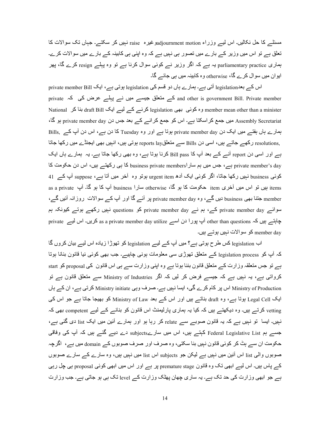مسئلے کا حل نکالیں۔ اس لیے وزراء adjournment motionوغیرہ raise نہیں کر سکتے۔ جہاں تک سوالات کا تعلق ہے تو اس میں وزیر کے بارے میں تصور ہی نہیں ہے کہ وہ اپنی ہی کابینہ کے بارے میں سوالات کرے۔ ہماری parliamentary practice یہ ہے کہ اگر وزیر نے کوئی سوال کرنا ہے تو وہ پہلے resign کرے گا، پھر ایو ان میں سو ال کرے گا، otherwise وہ کابینہ میں ہی جائے گا۔

اس کے بعدelegislation آتی ہے۔ ہمارے ہاں دو قسم کی legislation ہوتی ہے، ایک private member Bill private  $\sim$  کے متعلق جیسے میں نے پہلے عرض کی کہ  $\,$  and other is government Bill. Private member National ان draft Bill وہ کوئی بھی legislation کرنے کے لیے ایک draft Bill بنا کر Assembly Secretariat میں جمع کر اسکتا ہے۔ اس کو جمع کر انے کے بعد جس دن private member day ہو گا، ہمارے ہاں ہفتے میں ایک دن private member day ہوتا ہے اور وہ Tuesday کا دن ہے، اس دن آپ کے Bills, ,resolutions رکھے جاتے ہیں، اسی دن Bills سے متعلقreports lay ہوتی ہیں، انہیں بھی ایجنڈے میں رکھا جاتا ہے اور اسی دن report آنسر کم بعد آپ کا Bill pass کرنا ہوتا ہے، وہ بھی رکھا جاتا ہے۔ یہ ہمارے ہاں ایک private member's day ہے ، جس میں ہم سار business private membersl کا ہی رکھتے ہیں، اس دن حکومت کا کوئی business نہیں رکھا جاتا، اگر کوئی ایک آدھ urgent item ہوتو وہ آخر میں آتا ہے، suppose آپ کے 41 as a private پی تو اس میں آخری item حکومت کا ہو گا، otherwise سارا business آپ کا ہو گا۔ آپ as a private member جتنا بھی business دیں گے، وہ private member day پر آئے گا اور آپ کے سوالات روزانہ آئیں گے، سوائے private member day کے، ہم نے private member day کو questions نہیں رکھے ہوتے کیونکہ ہم چاہتے ہیں کہ other than questions آپ پورا دن اسے as a private member day utilize کریں۔ اس لیے private member day کو سوالات نہیں ہوتے ہیں۔

اب legislation کس طرح ہوتی ہے؟ میں آپ کے لیے legislation کو تھوڑا زیادہ اس لیے بیان کروں گا کہ آپ کو legislation process کے متعلق تھوڑی سی معلومات ہونی چاہیے۔ جب بھی کوئی نیا قانون بنانا ہوتا ہے تو جس متعلقہ وزارت کے متعلق قانون بننا ہوتا ہے وہ اپنی وزارت سے ہی اس قانون کی proposal کو start کرواتی ہے، یہ نہیں ہے کہ جیسے فرض کر لیں کہ اگر Ministry of Industries سے منعلق قانون ہے تو Ministry of Production اس پر کام کرے گی، ایسا نہیں ہے۔ صرف وہی Ministry initiate کرتی ہے، ان کے ہاں ایک Legal Cell ہوتا ہے، وہ draft بناتے ہیں اور اس کے بعد Ministry of Law کو بھیجا جاتا ہے جو اس کی vetting کرتے ہیں۔ وہ دیکھتے ہیں کہ کیا یہ ہماری پارلیمنٹ اس قانون کو بنانے کے لیے competent بھی کہ نہیں۔ ایسا تو نہیں ہے کہ یہ قانون صوبے سے relate کر رہا ہو اور ہمارے آئین میں ایک list دی گئی ہے، جسے ہم Federal Legislative List کہتے ہیں، اس میں سارےsubjects دے دیے گئے ہیں کہ آپ کی وفاقی حکومت ان سے ہٹ کر کوئی قانون نہیں بنا سکتی، وہ صرف اور صرف صوبوں کے domain میں ہے، اگرچہ صوبوں والی list اس آئین میں نہیں ہے لیکن جو subjects اس list میں نہیں ہیں، وہ سارے کے سارے صوبوں کے پاس ہیں۔ اس لیے ابھی تک وہ قانون premature stage پر ہے اور اس میں ابھی کوئی proposal ہی چل رہی ہے جو ابھی وزارت کی حد تک ہے۔ یہ ساری چھان پھٹک وزارت کے level تک ہی ہو جاتی ہے۔ جب وزارت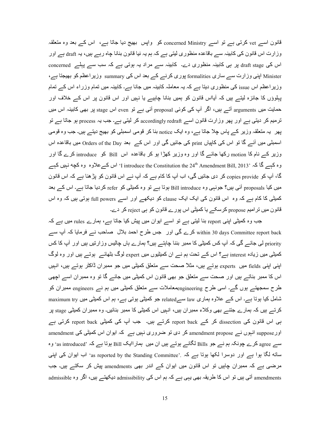قانون اسے vet کرتی ہے تو اسے concerned Ministry کو واپس بھیج دیا جاتا ہے، اس کے بعد وہ منعلقہ وزارت اس قانون کی کابینہ سے باقاعدہ منظور ی لیتی ہے کہ ہم یہ نیا قانون بنانا چاہ رہے ہیں، یہ draft ہے اور اس کی draft stage پر ہی کابینہ منظوری دے۔ کابینہ سے مراد یہ ہوتی ہے کہ سب سے پہلے concerned Minister اپنی وزارت سے ساری formalities پوری کرنے کے summary وزیر اعظم کو بھیجتا ہے، وزیراعظم اس issue کی منظوری دیتا ہے کہ یہ معاملہ کابینہ میں جانا ہے۔ کابینہ میں تمام وزراء اس کے تمام پہلوؤں کا جائزہ لیتـے ہیں کہ آیـااس قانون کو ہمیں بنانا چاہیـے یا نہیں اور اس قانون پر اس کـے خلاف اور حمایت میں arguments آتـــر ہیں، اگر آپ کی کوئی proposal آئی ہـــر تو even اس stage پر بھی کابینہ اس میں ترمیم کر دیتی ہے اور پھر وزارت قانون اسے accordingly redraft کر لیتی ہے۔ جب یہ process ہو جاتا ہے تو یھر یہ متعلقہ وزیر کے پاس چلا جاتا ہے، وہ ایک notice بنا کر قومی اسمبلی کو بھیج دیتے ہیں۔ جب وہ قومی اسمبلی میں آئے گا تو اس کی کاپیاں print کی جائیں گی اور اس کے بعد Orders of the Day میں باقاعدہ اس وزیر کے نام کا motion رکھا جائے گا اور وہ وزیر کھڑا ہو کر باقاعدہ اس Bill کو introduce کرے گا اور وہ کہے گا کہ 'I introduce the Constitution the 24<sup>th</sup> Amendment Bill, 2013' اس کے علاوہ وہ کچه نہیں کہے گا، آپ کو copies provide کر دی جائیں گی، اب آپ کا کام ہے کہ آپ نے اس قانون کو پڑھنا ہے کہ اس قانون میں کیا proposals آئبی ہیں؟ جونبی وہ Bill introduce ہوتا ہے تو وہ کمیٹی کو refer کردیا جاتا ہے۔ اس کے بعد کمیٹی کا کام ہے کہ وہ اس قانون کی ایک ایک clause کو دیکھے اور اسے full powers ہوتی ہیں کہ وہ اس ۔ قانون میں تر امیم <sub>propose</sub> کر سکے یا کمیٹی اس پورے قانون کو ہی reject کر دے

جب وہ کمیٹی اپنی report بنا لیتی ہے تو اسے ابوان میں پیش کیا جاتا ہے، ہمارے rules میں ہے کہ within 30 days Committee report back کرے گی اور جس طرح احمد بلال حماحب نے فرمایا کہ آپ سے priority لی جائے گی کہ آپ کس کمیٹی کا ممبر بننا چاہتے ہیں؟ ہمارے ہاں چالیس وز ار تیں ہیں اور ِ آپ کا کس کمیٹی میں زیادہ interest ہے؟ اس کے تحت ہم نے ان کمیٹیوں میں expert لوگ بٹھائے ہوتے ہیں اور وہ لوگ اپنی اپنی fields میں experts ہوتے ہیں، مثلاً صحت سے متعلق کمیٹی میں جو ممبران ڈاکٹر ہوتے ہیں، انہیں اس کا ممبر بناتے ہیں اور صحت سے متعلق جو بھی قانون اس کمیٹی میں جائے گا تو وہ ممبران اسے اچھی طرح سمجھتے ہوں گے۔ اسی طرح engineeringمعاملات سے متعلق کمیٹی میں ہم نے engineers ممبران کو شامل کیا ہوتا ہے۔ اس کے علاوہ ہماری law سےrelated جو کمیٹی ہوتی ہے، ہم اس کمیٹی میں maximum try کرتے ہیں کہ ہمارے جتنے بھی وکلاء ممبر ان ہیں، انہیں اس کمیٹی کا ممبر بنائیں۔ وہ ممبر ان کمیٹی <sub>stage</sub> پر ہے اس قانون کی dissection کر کے report back کرتے ہیں۔ جب آپ کی کمیٹی report back کرتی ہے اور suppose انہوں نسر amendment propose کر دی تو ضروری نہیں ہے کہ ایوان اس کمیٹی کی amendment سے agree کرے چونکہ ہم نے جو Bills لگانے ہوتے ہیں ان میں ہمار اایک Bill ہوتا ہے کہ 'as introduced' وہ سانہ لگا ہوا ہے اور دوسرا لکھا ہوتا ہے کہ .'as reported by the Standing Committee' اب ایوان کی اپنی مرضی ہے کہ ممبران چاہیں تو اس قانون میں ایوان کے اندر بھی amendments پیش کر سکتے ہیں۔ جب amissible آتی ہیں تو اس کا طریقہ بھی یہی ہے کہ ہم اس کی admissibility دیکھتے ہیں، اگر وہ admissible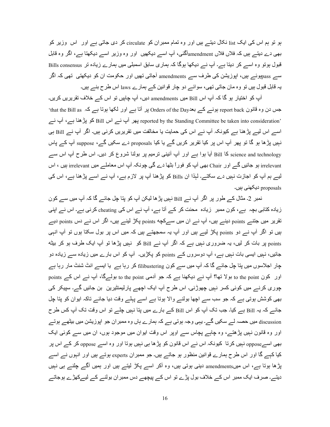ہو تو ہم اس کی ایک list نکال دیتے ہیں اور وہ تمام ممبران کو circulate کر دی جاتی ہے اور اس وزیر کو بھی دے دیتــــر ہیں کہ فلاں فلاں amendment[گئـی، آپ اســـر دیکھیں اور وہ وزیر اســـر دیکھتا ہـــر، اگر وہ قابل قبول ہوتو وہ اسے کر دبتا ہے۔ آپ نے دیکھا ہوگا کہ ہماری سابق اسمبلی میں ہمارے زیادہ تر Bills consensus سے passہوئے ہیں، اپوزیشن کی طرف سے amendments آجاتی تھیں اور حکومت ان کو دیکھتی تھی کہ اگر یہ قابل قبول ہیں تو وہ مان جاتی تھی، سوائے دو چار قوانین کے ہمارے laws اس طرح بنے ہیں۔

آپ کو اختیار ہو گا کہ آپ اس Bill میں amendments دیں، آپ چاہیں تو اس کے خلاف تقریریں کریں۔ حس دن وہ قانون report back ہونسر کسر بعدOrders of the Day پر آنا ہسر اور لکھا ہوتا ہسر کہ that the Bill as reported by the Standing Committee be taken into consideration' پھر آپ نے اس Bill کو پڑھنا ہے، آپ نے اسے اس لیے پڑھنا ہے کیونکہ آپ نے اس کی حمایت یا مخالفت میں تقریریں کرنی ہیں۔ اگر آپ نے Bill ہی نہیں پڑھا ہو گا تو پھر آپ اس پر کیا تقریر کریں گے یا کیا proposals دے سکیں گے، suppose آپ کے پاس science and technology کا Bill آیا ہوا ہے اور آپ آئینی نرمیم پر بولنا شروع کر دیں۔ اس طرح آپ اس سے irrelevant ہو جائیں گے اور Chair بھی آپ کو فوراً بٹھا دے گی چونکہ آپ اس معاملے میں irrelevant ہیں ، اس لیے ہم آپ کو اجازت نہیں دے سکتے۔ لہٰذا ان Bills کو پڑھنا آپ پر لازم ہے، آپ نے اسے پڑھنا ہے، اس کی proposals دیکھنے، ہیں۔

نمبر 2۔ مثال کے طور پر اگر آپ نے Bill نبیں پڑ ھا لیکن آپ کو پتا چل جائے گا کہ آپ میں سے کون زیادہ کتابی بچہ ہے، کون ممبر زیادہ محنت کر کے آتا ہے، آپ نے اس کی cheating کرنی ہے۔ اس نے اپنی تقریر میں جتنے points دینے ہیں، آپ نے ان میں سےکچه points پکڑ لینے ہیں، اگر اس نے دس points دیے ہیں تو اگر آپ نے دو points پکڑ لیے ہیں اور آپ یہ سمجھتے ہیں کہ میں اس پر بول سکتا ہوں تو آپ انہی points پر بات کر لیں، یہ ضروری نہیں ہے کہ اگر آپ نے Bill کو نہیں پڑھا تو آپ ایک طرف ہو کر بیٹه جائیں، نہیں ایسی بات نہیں ہے، آپ دوسروں کے points کو پکڑیں۔ آپ کو اس بارے میں زیادہ سے زیادہ دو چار اجلاسوں میں پتا چل جائے گا کہ آپ میں سے کون filibustering کر رہا ہے یا ایسے انٹ شنٹ مار رہا ہے  $\rho$ points ہولا تھا؟ آپ نسر دیکھنا ہسر کہ جو آدمی to the point بولسرگا، آپ نسر اس کسر points جوری کرنے میں کوئی کسر نہیں جھوڑنی۔ اس طرح آپ ایک اچھے پارلیمنٹیرین بن جائیں گے۔ سیپکر کی بھی کوشش ہوتی ہے کہ جو سب سے اچھا بولنے والا ہوتا ہے اسے پہلے وقت دیا جائے تاکہ ایوان کو پتا چل جائے کہ یہ Bill ہے کیا۔ جب تک آپ کو اس Bill کے بارے میں پتا نہیں چلے تو اس وقت تک آپ کس طرح discussion میں حصہ لے سکیں گے۔ یہی وجہ ہوتی ہے کہ ہمارے ہاں وہ ممبر ان جو اپوزیشن میں بیٹھے ہوتے اور وہ قانون نہیں پڑھتے، وہ چاہے پچاس سے اوپر اس وقت ایوان میں موجود ہوں، ان میں سے کوئی ایک بھی اسےoppose نہیں کرتا کیونکہ اس نے اس قانون کو پڑھا ہی نہیں ہوتا اور وہ اسے oppose کر کے اس پر کیا کہے گا اور اس طرح ہمارے قوانین منظور ہو جاتے ہیں۔ جو ممبران experts ہوتے ہیں اور انہوں نے اسے پڑھا ہوتا ہے، اس میںamendments دینی ہوتی ہیں، وہ آکر اسے پکڑ لیتے ہیں اور ہمیں آگے چلنے ہی نہیں دیتے۔ صرف ایک ممبر اس کے خلاف بول پڑے تو اس کے پیچھے دس ممبر ان بولنے کے لیےکھڑے ہوجاتے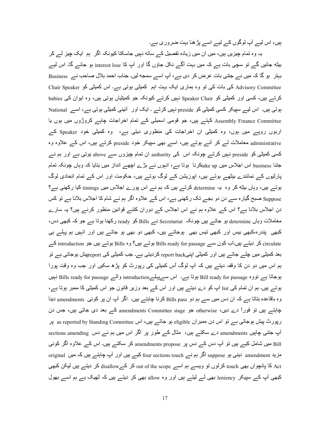ہیں، اس لیے آپ لوگوں کے لیے اسے پڑھنا بہت ضروری ہے۔

یہ وہ تمام چیزیں ہیں، میں ان میں زیادہ تفصیل کے ساته نہیں جاسکتا کیونکہ اگر ہم ایک چیز لے کر بیٹه جائیں گے ِ تو سچی بات ہے کہ میں بہت آگے نکل جاؤں گا اور آپ کا interest lose ہو جائے گا۔ اس لیے بہتر ہو گا کہ میں نے جتنی بات عرض کر دی ہے، آپ اسے سمجه لیں۔ جناب احمد بلال صاحب نے Business Chair Speaker کی بات کی تو وہ ہماری ایک بہت اہم کمیٹی ہوتی ہے۔ اس کمیٹی کو Chair Speaker کرتے ہیں، کسی اور کمیٹی کو Speaker Chair نہیں کرتے کیونکہ جو کمیٹیاں ہوتی ہیں، وہ ایوان کی babies ہوتی ہیں۔ اس لیے سپیکر کسی کمیٹی کو preside نہیں کرتے ۔ ایک اور آئینی کمیٹی ہوتی ہے، اسے National Assembly Finance Committee کہتے ہیں، جو قومی اسمبلی کے تمام اخراجات چاہے کروڑوں میں ہوں یا اربوں روپے میں ہوں، وہ کمیٹی ان اخراجات کی منظوری دیتی ہے، وہ کمیٹی خود Speaker کے administrative معاملات لے کر أنے ہوتے ہیں، اسے بھی سپیکر خود preside کرتے ہیں، اس کے علاوہ وہ کسی کمیٹی کو preside نہیں کرتے چونکہ اس کی authority ان تمام چیزوں سے above ہوتی ہے اور ہم نے جتنا business اس اجلاس میں take upکرنا ہوتا ہے، انہوں نے بڑے اچھے انداز میں بتایا کہ وہاں چونکہ تمام پارٹیوں کے نمائندے بیٹھے ہوتے ہیں، اپوزیشن کے لوگ ہوتے ہیں، حکومت اور اس کے تمام اتحادی لوگ ہوتے ہیں، وہاں بیٹه کر وہ یہ determine کرتے ہیں کہ ہم نے اس پورے اجلاس میں timings کیا رکھنی ہے؟ Suppose صبح گیارہ سے دن دو بجے تک رکھنی ہے، اس کے علاوہ اگر ہم نے شام کا اجلاس بلانا ہے تو کس دن اجلاس بلانا ہے؟ اس کے علاوہ ہم نے اس اجلاس کے دوران کتنے قوانین منظور کرنے ہیں؟ یہ سارے معاملات وہاں determine ہو جاتسے ہیں چونکہ Secretariat نسے Bills کو ready رکھنا ہوتا ہے جو کہ کبھی دس، کبھی پندرہ،کبھی بیس اور کبھی تیس بھی ہوجاتے ہیں، کبھی دو بھی ہو جاتے ہیں اور انہیں ہم پہلے ہی circulate کر دیتے ہیں۔اب کون سے Bills ready for passage ہوتے ہیں؟ وہ Bills ہوتے ہیں جو introduction کے بعد کمیٹی میں چلے جاتے ہیں اور کمیٹی اپنیreport back کردیتی ہے۔ جب کمیٹی کی <sub>Feport</sub>پیش ہوجاتی ہے تو ہم اس میں دو دن کا وقفہ دیتـــر ہیں کہ آپ لوگ اُس کمیٹے کے رپورٹ کو پڑھ سکیں اور جب وہ وقت پورا ہوجاتا ہے تووہ Bill ready for passage ہوتا ہے۔ اس سےپہلےintroduction والے Bills ready for passage نہیں ہوتے ہیں۔ ہم ان تمام کی list آپ کو دے دیتے ہیں اور اس کے بعد وزیر ِ قانون جو اس کمیٹی کا ممبر ہوتا ہے، وہ باقاعدہ بناتا ہے کہ ان دس میں سے ہم دو Bills pass کرنا چاہتے ہیں۔ اگر آپ ان پر کوئی amendments دینا چاہتسہ بیں تو فوراً دے دیں، otherwise جو amendments Committee stage کے بعد دی جاتی ہیں، جس دن رپورٹ بیش ہوجاتی ہے تو اس دن ممبران eligible ہو جاتے ہیں، اس as reported by Standing Committee بر آپ جتنی چاہیں amendments دے سکتے ہیں، مثال کے طور پر اگر اس میں ہم نے دس sections amending دے سکتے ہیں، مثال Bill میں شامل کیے ہیں تو آپ دس کے دس پر amendments propose کر سکتے ہیں۔ اس کے علاوہ اگر کوئی مزید amendment دینی ہو suppose اگر ہم نے four sections touch کیے ہیں اور آپ چاہتے ہیں کہ میں original Act کا پانچواں بھی touch کرلوں تو ویسے ہم اسے out of the scope کر کےdisallow کر دیتے ہیں لیکن کبھی کبھی آپ کے سپیکر leniency بھی لے لیتے ہیں اور وہ allow بھی کر دیتے ہیں کہ ٹھیک ہے ہم اسے بھول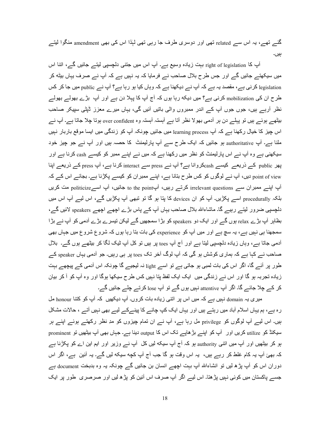گئے تھے، یہ اس سے related تھی اور دوسری طرف جا رہی تھی لہٰذا اس کی بھی amendment منگوا لیتے ہ.ں۔

آپ کا right of legislation بہت زیادہ وسیع ہے۔ آپ اس میں جتنبی دلچسپی لیتے جائیں گے، اتنا اس میں سیکھتے جائیں گے اور جس طرح بلال صاحب نے فرمایا کہ یہ نہیں ہے کہ آپ نے صرف یہاں بیٹه کر legislation کرنی ہے، مقصد یہ ہے کہ آپ نے دیکھنا ہے کہ وہاں کیا ہو رہا ہے؟ آپ نے public میں جا کر کس طرح ان کی mobilization کرنی ہے؟ میں دیکه رہا ہوں کہ آج آپ کا پہلا دن ہے اور آپ بڑے بھولے بھولے نظر أرہے ہیں، جوں جوں أپ کے اندر ممبروں والی باتیں أئیں گی، یہاں میرے معزز ٹیٹی سپیکر صاحب بیٹھے ہوئے ہیں تو پہلے دن ہر آدمی بھولا نظر آتا ہے آہستہ آہستہ وہ over confident ہوتا چلا جاتا ہے۔ آپ نے اس جیز کا خیال رکھنا ہے کہ آپ learning process میں جائیں چونکہ آپ کو زندگی میں ایسا موقع باربار نہیں ملنا ہے۔ آپ authoritative ہو جائیں کہ ایک طرح سے آپ پارلیمنٹ کا حصہ ہیں اور آپ نے جو چیز خود سیکھنی ہے وہ آپ نے اس پارلیمنٹ کو نظر میں رکھنا ہے کہ میں نے اپنے ممبر کو کیسے cash کرنا ہے اور پھر public کے ذریعے کیسے cashکروانا ہے؟ آپ نے press سے interact کرنا ہے، آپ press کے ذریعے اپنا point of view دیں، آپ نے لوگوں کو کس طرح بنانا ہے، اپنے ممبر ان کو کیسے پکڑنا ہے۔ بجائے اس کے کہ آپ اپنے ممبران سے irrelevant questions کرتے رہیں، آپto the point جائیں، آپ اسے politicize مت کریں بلکہ procedurally اسے پکڑیں۔ آپ کو ان devices کا پتا ہو گا تو تبھی آپ پکڑیں گے، اس لیے آپ اس میں دلچسپی ضرور لیتے رہیے گا۔ ماشاءاللہ بلال صاحب یہاں آپ کے پاس بڑے اچھے اچھے speakers لائیں گے، بظاہر آپ بڑے relax ہوں گے اور ایک دو speakers کو بڑا سمجھیں گے لیکن تیسرے بڑے آدمی کو آپ نے بڑا سمجھنا ہی نہیں ہے، یہ سچ ہے اور میں آپ کو experience کی بات بنا رہا ہوں کہ شروع شروع میں جہاں بھی آدمی جاتا ہے، وہاں زیادہ دلچسپی لیتا ہے اور آج آپ toes پر ہیں تو کل آپ ٹیک لگا کر بیٹھے ہوں گے۔ بلال صاحب نے کہا ہے کہ ہماری کوشش ہو گی کہ آپ لوگ آخر تک toes پر ہی رہیں۔ جو آدمی یہاں speaker کے طور پر آئے گا، اگر اس کی بات لمبی ہو جاتی ہے تو اسے light نہ لیجیے گا چونکہ اس آدمی کے پیچھے بہت زیادہ تجربہ ہو گا اور اس نے زندگی میں ایک ایک لفظ بنا نہیں کس طرح سیکھا ہوگا اور وہ آپ کو آ کر بیان کر کے چلا جائے گا۔ اگر آپ attentive نہیں ہوں گے تو آپ lose کرتے چلے جائیں گے۔

میری یہ domain نہیں ہے کہ میں اس پر اتنی زیادہ بات کروں۔ آپ دیکھیں کہ آپ کو کتنا honour مل رہ ہے، ہم یہاں اسلام آباد میں رہتے ہیں اور یہاں ایک کپ چائے کا پینےکے لیے بھی نہیں آتے ، حالات مشکل ہیں۔ اس لیے آپ لوگوں کو privilege مل رہا ہے، آپ نے ان تمام چیزوں کو مدِ نظر رکھتے ہوئے اپنے ہر سیکنڈ کو utilize کریں اور آپ کو اپنے بڑھاپے تک اس کا output دینا ہے۔ جہاں بھی آپ بیٹھیں تو prominent ہو کر بیٹھیں اور آپ میں اتنی authority ہو کہ آج آپ سیکه لیں کل آپ نے وزیر اور ایم این اے کو پکڑنا ہے کہ بھئ آپ یہ کام غلط کر رہے ہیں، یہ اس وقت ہو گا جب آج آپ کچه سیکه لیں گے۔ یہ آئین ہے، اگر اس دوران اس کو آپ پڑھ لیں تو انشاءاللہ آپ بہت اچھے انسان بن جائیں گے چونکہ یہ وہ بدبخت document ہے جسے پاکستان میں کوئی نہیں پڑھتا۔ اس لیے اگر آپ صرف اس آئین کو پڑھ لیں اور صرصری ً طور پر ایک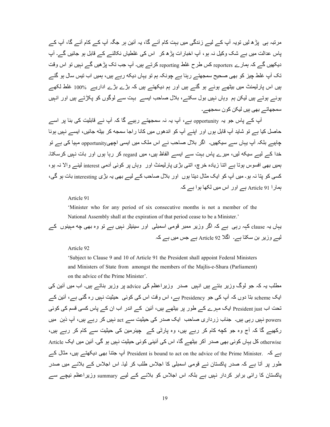مرتبہ ہی پڑھ لیں تویہ آپ کے لیے زندگی میں بہت کام آئے گا، یہ آئین ہر جگہ آپ کے کام آئے گا، آپ کے یاس عدالت میں بے شک وکیل نہ ہو، آپ اخبار ات پڑھ کر اس کی غلطیاں نکالنے کے قابل ہو جائیں گے۔ آپ دیکھیں گے کہ ہمارے reporters کس طرح غلط reporting کرتے ہیں۔ آپ جب تک پڑ ھیں گے نہیں تو اس وقت تک آپ غلط چیز کو بھی صحیح س*مجھتے ر*ہنا ہے جونکہ ہم تو یہاں دیکه رہے ہیں، ہمیں اب تیس سال ہو گئے ہیں اس پارلیمنٹ میں بیٹھے ہوئے ہو گئے ہیں اور ہم دیکھتے ہیں کہ بڑے بڑے اداریے۔ 100% غلط لکھے ہوئے ہوتے ہیں لیکن ہم وہاں نہیں بول سکتے، بلال صاحب ایسے بہت سے لوگوں کو پکڑتے ہیں اور انہیں سمجھاتے بھی ہیں لیکن کون سمجھے۔

آپ کے پاس جو یہ opportunity ہے، آپ یہ نہ سمجھتے رہیے گا کہ آپ نے قابلیت کی بنا پر اسے حاصل کیا ہے تو شاید آپ قابل ہوں اور اپنے آپ کو اندھوں میں کانا راجا سمجه کر بیٹه جائیں، ایسے نہیں ہونا چاہیے بلکہ آپ یہاں سے سیکھیں۔ اگر بلال صاحب نے اس ملک میں ایسی اچھیopportunity مبیا کی ہے تو خدا کے لیے سیکه لیں، میرے پاس بہت سے ایسے الفاظ ہیں، میں regard کر رہا ہوں اور بات نہیں کرسکتا۔ ہمیں بھی افسوس ہوتا ہے اتنا زیادہ خرچ، اتنی بڑی پارلیمنٹ اور وہاں پر کوئی آدمی interest لینے والا نہ ہو، کسی کو پنا نہ ہو۔ میں آپ کو ایک مثال دینا ہوں اور بلال صاحب کے لیے بے پہ بڑی interesting بات ہو گی، ہمار ا Article 91 ہے اور اس میں لکھا ہوا ہے کہ

Article 91

'Minister who for any period of six consecutive months is not a member of the National Assembly shall at the expiration of that period cease to be a Minister.'

یہاں یہ clause کہہ رہی ہے کہ اگر وزیر ممبر قومی اسمبلی اور سینیٹر نہیں ہے تو وہ بھی چه مہینوں کے لیے وزیر بن سکتا ہے۔ اگلا Article 92 ہے جس میں ہے کہ

Article 92

'Subject to Clause 9 and 10 of Article 91 the President shall appoint Federal Ministers and Ministers of State from amongst the members of the Majlis-e-Shura (Parliament) on the advice of the Prime Minister'.

مطلب یہ کہ جو لوگ وزیر بنتے ہیں انہیں صدر وزیراعظم کی advice پر وزیر بناتے ہیں۔ اب میں آئین کی ایک scheme بنا دوں کہ أپ کی جو Presidency ہے، اس وقت اس کی کوئی حیثیت نہیں رہ گئی ہے، أئین کے تحت اب President just ایک مہر ے کے طور پر بیٹھے ہیں، آئین کے اندر اب ان کے پاس کسی قسم کی کوئی powers نہیں رہی ہیں۔ جناب زرداری صاحب ایک صدر کی حیثیت سے act نہیں کر رہے ہیں، آپ ذہن میں رکھیے گا کہ آج وہ جو کچه کام کر رہے ہیں، وہ پارٹی کے ۔پشرمین کی حیثیت سے کام کر رہے ہیں، otherwise کل یہاں کوئی بھی صدر آکر بیٹھے گا، اس کی آئینی کوئی حیثیت نہیں ہو گی۔ آئین میں ایک Article ہے کہ .President is bound to act on the advice of the Prime Minister آپ جتنا بھی دیکھنے ہیں، مثال کے طور پر آتا ہے کہ صدر پاکستان نے قومی اسمبلی کا اجلاس طلب کر لیا۔ اس اجلاس کے بلانے میں صدر پاکستان کا رائی برابر کردار نہیں ہے بلکہ اس اجلاس کو بلانے کے لیے summary وزیراعظم نیچے سے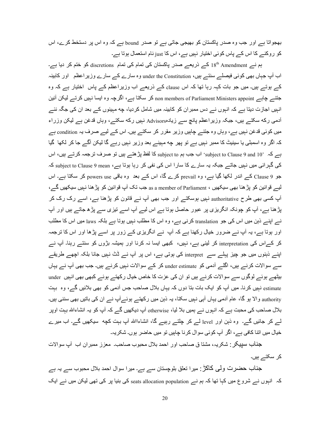بھجواتا ہے اور جب وہ صدر پاکستان کو بھیجی جاتی ہے تو صدر bound ہے کہ وہ اس پر دستخط کرے، اس کو روکنے کا اس کے پاس کوئی اختیار نہیں ہے، اس کا just نام استعمال ہوتا ہے۔

ہم نے Amendment 18<sup>th</sup> Amendment کے ذریعے صدر پاکستان کی تمام کی تمام discretions کو ختم کر دیا ہے۔ اب آپ جہاں بھی کوئی فیصلے سنتے ہیں، under the Constitution وہ سارے کے سارے وزیر اعظم ِ اور کابینہ کے ہوتے ہیں۔ میں جو بات کہہ رہا تھا کہ اس clause کے ذریعے اب وزیراعظم کے پاس اختیار ہے کہ وہ جتنسر چاہسر البلان اللہ non members of Parliament Ministers appoint کر سکتا ہے، اگرچہ وہ ایسا نہیں کرتسر لیکن آئین انہیں اجازت دیتا ہے کہ انہوں نے دس ممبر ان کو کابینہ میں شامل کر دیا، چه مہینوں کے بعد ان کی جگہ نئے آدمی رکه سکتے ہیں، جبکہ وزیر اعظم پانچ سے زیادہAdvisors نہیں رکه سکتے، وہاں قدغن ہے لیکن وزراء میں کوئی قدغن نہیں ہے، وہاں وہ جتنے چاہیں وزیر مقرر کر سکتے ہیں۔ اس کے لیے صرف یہ condition ہے کہ اگر وہ اسمبلی یا سینیٹ کا ممبر نہیں ہے تو پھر چه مہینے بعد وزیر نہیں رہے گا لیکن آگے جا کر لکھا گیا ہے کہ '10 subject to Clause 9 and اب جب ہم subject to کا لفظ پڑ ھتے ہیں تو صرف ترجمہ کرتے ہیں، اس کی گہر ائی میں نہیں جاتے جبکہ یہ سارے کا سارا اس کی نفی کر رہا ہوتا ہے، subject to Clause 9 mean کہ جو Clause 9 کے اندر لکھا گیا ہے، وہ prevail کرے گا، اس کے بعد وہ باقی powers use کر سکتا ہے۔ اس ایبے قوانین کو بڑ ھنا بھی سیکھیں ، as a member of Parliament جب تک آپ قوانین کو بڑ ھنا نہیں سیکھیں گے۔، آپ کسی بھی طرح authoritative نہیں ہوسکتے اور جب بھی آپ نے قانون کو پڑھنا ہے، اسے رک رک کر پڑ ھنا ہے، آپ کو چونکہ انگریزی پر عبور حاصل ہوتا ہے اس لیے آپ اسے تیزی سے پڑھ جاتے ہیں اور آپ نس اپنسر ذہن میں اس کی جو translation کرنے ہے، وہ اس کا مطلب نہیں ہوتا ہے بلکہ laws میں اس کا مطلب اور ہوتا ہے، یہ آپ نے ضرور خیال رکھنا ہے کہ آپ نے انگریزی کے زور پر اسے پڑھا اور اس کا ترجمہ کر کے اس کی interpretation کر لینی ہے، نہیں، کبھی ایسا نہ کرنا اور ہمیشہ بڑوں کو سنتے رہنا۔ آپ نے اپنے ذہنوں میں جو چیز پہلے سے interpret کی ہوتی ہے، اس پر آپ نے ڈٹ نہیں جانا بلکہ اچھے طریقے سے سوالات کرنے ہیں، اگلے آدمی کو under estimate کر کے سوالات نہیں کرنے ہیں۔ جب بھی آپ نے یہاں بیٹھے ہوئے لوگوں سے سوالات کرنے ہیں تو ان کی عزت کا خاص خیال رکھتے ہوئے کبھی بھی انہیں under estimate نہیں کرنا۔ میں آپ کو ایک بات بنا دوں کہ یہاں بلال صاحب جس آدمی کو بھی بلائیں گے، وہ بہت authority والا ہو گا، عام آدمی یہاں آبی نہیں سکتا، یہ ذہن میں رکھتے ہوئے آپ نے ان کی باتیں بھی سننی ہیں۔ بلال صاحب کی محبت ہے کہ انہوں نے ہمیں بلا لیا، otherwise آپ دیکھیں گے کہ آپ کو یہ انشاءاللہ بہت اوپر لے کر جائیں گے۔ وہ ذہن اور level لے کر چلتے رہیے گا، انشاءااللہ آپ بہت کچه سیکھیں گے۔ اب میرے خیال میں اتنا کافی ہے، اگر آپ کوئی سوال کرنا چاہیں تو میں حاضر ہوں۔ شکریہ۔

جناب سبیکر : شکریہ، مشتا ق صاحب اور احمد بلال محبوب صاحب۔ معزز ممبران اب آپ سوالات كر سكتے ہيں۔

جناب حضرت ولّی کاکڑ : میرا تعلق بلوچستان سے ہے۔ میرا سوال احمد بلال محبوب سے یہ ہے کہ انہوں نے شروع میں کہا تھا کہ ہم نے seats allocation population کی بنیا پر کی تھی لیکن میں نے ایک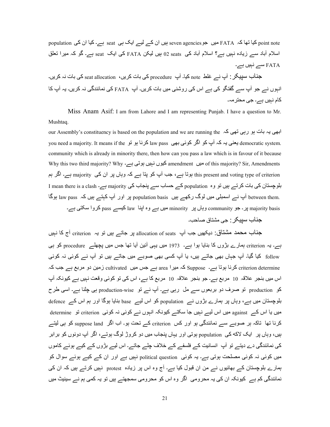population کیا تھا کہ FATA میں جو seven agencies ہیں ان کے لیے ایک ہی seat ہے۔ کیا ان کی population اسلام آباد سے زیادہ نہیں ہے؟ اسلام آباد کی  $_{2\rm~seats}$  ہیں لیکن FATA کی ایک  $_{5\rm{eat}}$  ہے۔ گو کہ میرا تعلق FATA Aے }ہ.ں ہے۔

جناب سپیکر : آپ نے غلط note کیا۔ آپ م $\rm{procedure}$  کی بات نہ کریں۔  $\rm{set\,allocation}$  ، حناب سپیکر انبوں نے جو آپ سے گفتگو کی ہے اس کی روشنی میں بات کریں۔ آپ FATA کی نمائندگی نہ کریں۔ یہ آپ کا کام نہیں ہے۔ جی محتر مہ۔

Miss Anam Asif: I am from Lahore and I am representing Punjab. I have a question to Mr. Mushtaq.

our Assembly's constituency is based on the population and we are running the ابھی یہ بات ہو رہی تھی کہ you need a majority. It means if the کرنا ہو تو law pass کردا بو تو democratic system. community which is already in minority there, then how can you pass a law which is in favour of it because Why this two third majority? Why میں amendment کیوں نہیں ہوتی ہے۔ Why this two third majority? Why this present and voting type of criterion ہوتا ہے، جب آپ کو پتا ہے کہ وہاں پر ان کی majority ہے۔ اگر ہم بلوچستان کی بات کرتے ہیں تو وہ population کے حساب سے بنجاب کی majority ہے۔ I mean there is a clash ا hetween them. آپ نے اسمبلی میں لوگ رکھے ہیں population basis پو اور آپ کہتے ہیں کہ law pass ہوگا majority basis پر ۔ جو community وہاں پر minority میں ہے وہ اپنا law کیسے pass کروا سکتی ہے۔

جناب سبيكر : جي مشتاق صاحب۔

جناب محمد مشتاق: دیکھیں جب آپ allocation of seats ہر جاتے ہیں تو یہ criterion آج کا نہیں ہے۔ یہ criterion ہمارے بڑوں کا بنایا ہوا ہے۔ 1973 میں یہی آئین آیا تھا جس میں یچھلے procedure کو ہی follow کیا گیا۔ آپ جہاں بھی جاتے ہیں، یا آپ کسی بھی صوبے میں جاتے ہیں تو آپ نے کوئی نہ کوئی criterion determine کرنا ہوتا ہے۔ Suppose کہ میرا area ہے جس میں cultivated زمین دو مربع ہے جب کہ اس میں بنجر علاقہ 10 مربع ہے۔ جو بنجر علاقہ 10 مربع کا ہے، اس کی تو کوئی وقعت نہیں ہے کیونکہ آپ کو production تو صرف دو بربعوں سے مل رہی ہے۔ آپ نے تو production-wise ہی چلنا ہے۔ اسی طرح بلوچستان میں ہے، وہاں پر ہمارے بڑوں نے population کو اس لیے base بنایا ہوگا اور ہم اس کے defence ہ میں یا اس کے against میں اس لیے نہیں جا سکتے کیونکہ انہوں نے کوئی نہ کوئی من criterion تو determine کرنا تھا تاکہ ہر صوبے سے نمائندگی ہو اور کس criterion کے تحت ہو۔ اب اگر suppose land کو ہی لیتے ہیں، وہاں پر ایک لاکه کی population ہوتی اور یہاں پنجاب میں دو کروڑ لوگ ہوتے، اگر آپ دونوں کو بر ابر کی نمائندگی دے دیتے تو آپ انسانیت کے فلسفے کے خلاف چلے جاتے۔ اس لیے بڑوں کے کیے ہوئے کاموں میں کوئی نہ کوئی مصلحت ہوتی ہے۔ یہ کوئی political question نہیں ہے اور ان کے کیے ہوئے سوال کو ہمارے بلوچستان کے بھائیوں نے من ان قبول کیا ہے۔ آج وہ اس پر زیادہ protest نہیں کرتے ہیں کہ ان کی نمائندگی کم ہے کیونکہ ان کی یہ محرومی اگر وہ اس کو محرومی سمجھتے ہیں تو یہ کمی ہم نے سینیٹ میں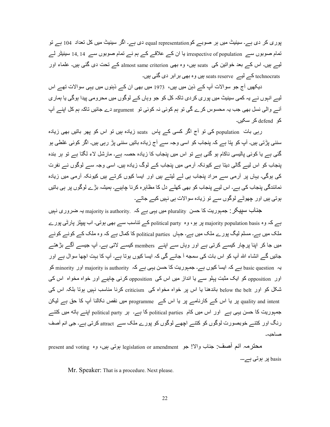پوری کر دی ہے۔ سینیٹ میں ہر صوبے کو equal representation دی ہے۔ اگر سینیٹ میں کل تعداد 104 ہے تو تمام صوبوں سے irrespective of population یا ان کے علاقے کے ہم نے تمام صوبوں سے 14, 14 سینیٹر لے لیے ہیں۔ اس کے بعد خواتین کی seats ہیں، وہ بھی almost same criterion کے تحت دی گئی ہیں۔ علماء اور technocrats کے لیے seats reserve ہیں وہ بھی برابر دی گئی ہیں۔

دیکھیں آج جو سوالات آپ کے ذہن میں ہیں، 1973 میں بھی ان کے ذہنوں میں یہی سوالات تھے اس لیے انہوں نے یہ کمی سینیٹ میں پور ی کر دی تاکہ کل کو جو وہاں کے لوگوں میں محرومی بیدا ہوگی یا ہمار ی آنے والی نسل بھی جب یہ محسوس کرے گی تو ہم کوئی نہ کوئی تو argument دے جائیں تاکہ ہم کل اپنے آپ  $\sim$ ی defend کر سکبر

رہی بات population کی تو آج اگر کسی کے پاس seats زیادہ ہیں تو اس کو پھر باتیں بھی زیادہ سننی پڑتی ہیں۔ آپ کو پتا ہے کہ پنجاب کو اسی وجہ سے آج زیادہ باتیں سننی پڑ رہی ہیں۔ اگر کوئی غلطی ہو گئی ہے یا کوئی پالیسی ناکام ہو گئی ہے تو اس میں پنجاب کا زیادہ حصہ ہے۔ مارشل لاء لگتا ہے تو ہر بندہ پنجاب کو اس لیے گالی دیتا ہے کیونکہ آرمی میں پنجاب کے لوگ زیادہ ہیں۔ اسی وجہ سے لوگوں نے نفرت کی ہوگی۔ یہاں پر آرمی سے مراد پنجاب ہی لے لیتے ہیں اور ایسا کیوں کرتے ہیں کیونکہ آرمی میں زیادہ نمائندگی پنجاب کی ہے۔ اس لیے پنجاب کو بھی کھلے دل کا مظاہر ہ کرنا چاہیے۔ ہمیشہ بڑے لوگوں پر ہی باتیں ہوتی ہیں اور چھوٹے لوگوں سے تو زیادہ سوالات ہی نہیں کیے جاتے۔

جذاب سپیکر : جمہوریت کا حسن plurality میں یہی ہے کہ .majority is authority یہ ضروری نہیں ہے کہ وہ majority population basis پر ہو، وہ political party کے تناسب سے بھی بوتی۔ اب پیپلز پارٹی پورے ملک میں ہے۔ مسلم لیگ پور ے ملک میں ہے۔ جہاں political parties کا کمال ہے کہ وہ ملک کے کونے کونے میں جا کر اپنا پرچار کیسے کرتی ہے اور وہاں سے اپنے members کیسے لاتی ہے۔ آپ جیسے آگے بڑھتے جائیں گے انشاء اللہ آپ کو اس بات کی سمجه آ جائے گی کہ ایسا کیوں ہوتا ہے۔ آپ کا بہت اچھا سوال ہے اور یہ basic question ہے کہ ایسا کیوں ہے۔ جمہوریت کا حسن یہی ہے کہ majority is authority اور minority کو اور opposition کو ایک مثبت پہلو سے یا انداز میں اس کی opposition کرنی چاہیے اور خواہ مخواہ اس کی شکل کو اور below the belt باندھنا یا اس پر خواہ مخواہ کی criticism کرنا مناسب نہیں ہوتا بلکہ اس کی quality and intent پر یا اس کے کارنامے پر یا اس کے programme میں نقص نکالنا آپ کا حق ہے لیکن جمہوریت کا حسن یہی ہے ِ اور اس میں کام political parties کا ہے۔ ہر political party اینے ہاته میں کتنے رنگ اور کتنے خوبصورت لوگوں کو کتنے اچھے لوگوں کو پورے ملک سے attract کرتی ہے۔ جی انم آصف صاحبہ۔

محترمہ انع أصف: جناب والا! جو legislation or amendment بوتی بیں، وہ present and voting basis پر ہوتی ہے۔۔۔

Mr. Speaker: That is a procedure. Next please.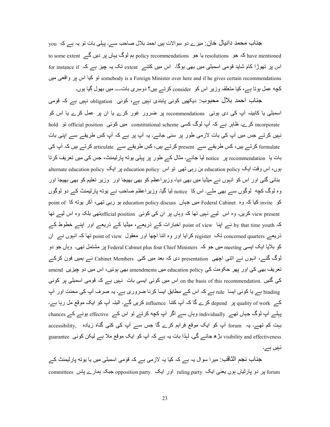جناب محمد دانیال خان: میرے دو سوالات ہیں احمد بلال صاحب سے۔ پہلی بات تو یہ ہے کہ you to some extent کہ جو resolutions یا جو policy recommendations ہم لوگ یہاں پر دیں گے to some extent د اس پر تھوڑا کام شاید قومی اسمبلی میں بھی ہوگا۔ اس میں کتنے extent تک یہ چیز ہے کہ for instance if somebody is a Foreign Minister over here and if he gives certain recommendations تو كيا اس پر واقعي ميں کچه عمل ہوتا ہے ،کیا متعلقہ وزیر اس کو consider کرتے ہیں؟ دوسری بات۔۔۔۔ میں بھول گیا ہوں۔

جناب احمد بلال محبوب: دیکھیں کوئی پابندی نہیں ہے، کوئی obligation نہیں ہے کہ قومی اسمبلی یا کابینہ آپ کی دی ہوئی recommendations پر ضرور غور کرے یا ان پر عمل کرے یا اس کو incorporate کرے۔ ظاہر ہے کہ آپ لوگ کسی constitutional scheme میں کوئی official position تو hold نہیں کر تے جس میں آپ کی بات لاز می طور پر سنی جائے۔ یہ آپ پر ہے کہ آپ کس طریقے سے اپنی بات formulate کرتے ہیں، کس طریقے سے present کرتے ہیں، کس طریقے سے articulate کرتے ہیں کہ آپ کی بات یا recommendation پر notice لیا جائــــرـ مثال کــــر طور پر پېلـي بونـه پارليمنتْ، جس کـي ميں تعريف کرتا بوں، اس وفت ایک education policy بن رہی تھی تو اس education policy پر ایک alternate education policy بنائی گئی اور اس کو انبوں نے میڈیا میں بھی دیا، وزیر اعظم کو بھی بھیجا اور وزیر تعلیم کو بھی بھیجا اور وہ لوگ کچه لوگوں سے بھی ملے۔ اس کا notice لیا گیا۔ وزیر اعظم صاحب نے پوته پارلیمنٹ کے دو لوگوں کو invite کیا کہ وہ Federal Cabinet میں جہاں education policy discuss ہو رہی تھی، آکر یونی کا point of view present کریں۔ وہ اس لیے نہیں تھا کہ وہاں پر ان کی کوئی official positionوَتھی بلکہ وہ اس لیے تھا کہ by that time youth نسر اپنا point of view اخبارات کسر ذریعہ، میڈیا کسر ذریعہ اور اپنسر خطوط کسر ذریعہ concerned quarters تک register کرایا اور وہ اننا اچھا اور معقول point of view نھا کہ انہوں نسر ان کو بلایا ایک ایسی meeting میں جو کہ Federal Cabinet plus four Chief Ministers پر مشتمل تھی۔ وہاں جو دو لوگ گئے، انہوں نے اتنی اچھی presentation دی کہ بعد میں کئی Cabinet Members نے ہمیں فون کرکے تعریف بھی کی اور پھر حکومت کی education policy میں amendments بھی ہوئیں، اس میں دو چیزیں amend کی گُئیں .on the basis of this recommendation اس میں کوئی ایسی بات نہیں ہے کہ قومی اسمبلی پر کوئی binding ہے یا کوئی ایسا rule ہے کہ اس کے مطابق ایسا کرنا ضروری ہے۔ یہ صرف آپ کی محنت اور آپ کے quality of work پر depend کرے گا کہ آپ کتنا influence کریں گے۔ البتہ آپ کو ایک موقع مل رہا ہے۔ پہلے آپ لوگ جہاں تھے individually وہاں سے اگر آپ کچه کرتے تو اس کے effective ہونے کے chances بہت کم تھے۔ یہ forum آپ کو ایک موقع فراہم کرے گا جس سے آپ کی کئی گناہ زیادہ ,accessibility visibility and effectiveness بڑھ جائے گی۔ لہٰذا بات یہ ہے کہ آپ کو ایک موقع ملا ہے لیکن کوئی guarantee نہیں ہے۔

جذاب نجم الثَّاقب: میرا سوال یہ ہے کہ کیا یہ لازمی ہے کہ قومی اسمبلی میں یا یوته پارلیمنٹ کے forum پر دو پارٹیاں ہوں یعنی ایک ruling party اور ایک .opposition party جبکہ ہمارے پاس .committees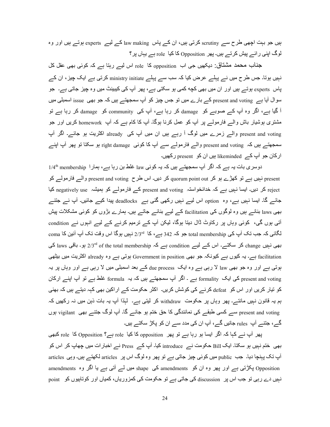ہیں جو بہت اچھی طرح سے scrutiny کرتی ہیں، ان کے پاس law making کے لیے experts ہوتے ہیں اور وہ لوگ اپنی ر ائے بیش کرتے ہیں۔ یھر Opposition کا کیا role ہے یہاں پر ؟

جناب محمد مشتاق: دیکھیں جی اب opposition کا role اس لیے ربتا ہے کہ کوئی بھی عقل کل نہیں ہوتا۔ جس طرح میں نے پہلے عرض کیا کہ سب سے پہلے ministry initiate کرتی ہے ایک چیز ، ان کے پاس experts ہوتے ہیں اور ان میں بھی کچه کمی ہو سکتی ہے، پھر آپ کی کیبینٹ میں وہ چیز جاتی ہے۔ جو سوال آیا ہے present and voting کے بارے میں تو جس چیز کو آپ سمجھتے ہیں کہ جو بھی issue اسمبلی میں آ گیا ہے، اگر وہ آپ کے صوبے کو damage کر رہا ہے، آپ کی community کو damage کر رہا ہے تو مشتری بوشیار باش والے فارمولے پر آپ کو عمل کرنا ہوگا۔ آپ کا کام ہے کہ آپ homework کریں اور جو present and voting والسر زمرے میں لوگ آ رہے ہیں ان میں آپ کی already اکثریت ہو جائے۔ اگر آپ سمجھتے ہیں کہ present and voting والے فارمولے سے آپ کا کوئی right damage ہو سکتا تو پھر آپ اپنے ارکان جو آپ کے likeminded ہیں ان کو present رکھیں۔

دوسری بات یہ ہے کہ اگر آپ سمجھتے ہیں کہ یہ کوئی law غلط بن ر ہا ہے، ہمار ا 1/4<sup>th</sup> membership present نہیں ہے تو کھڑے ہو کر quorum point out کر دیں۔ اس طرح present and voting و الے فارمولے کو reject کر دیں۔ ایسا نہیں ہے کہ خدانخواستہ present and voting کے فارمولے کو ہمیشہ negatively use کیا جائے گا۔ ایسا نہیں ہے، وہ option اس لیے نہیں رکھی گئی ہے deadlocks پیدا کیے جائیں۔ آپ نے جتنے بھی laws بنانسر ہیں وہ لوگوں کی facilitation کسر لیسر بنائسر جاتسر ہیں۔ ہمارے بڑوں کو کوئبی مشکلات پیش آتی ہوں گی، کوئی وہاں پر رکاوٹ ڈال دیتا ہوگا، لیکن آپ کے ترمیم کرنے کے لیے انہوں نے condition  $_{\rm coma}$  لگائی کہ جب تک آپ کی total membership جو کہ 342 ہے، کا  $_{2/3}$  نہیں ہوگا اس وقت تک آپ آئین کا  $_{\rm coma}$ بھی نہیں change کر سکتے۔ اس کے لیے condition ہے کہ laws laws 13<sup>rd</sup> of the total membership کی facilitation ہے۔ یہ کیوں ہے کیونکہ جو بھی Government in position ہوتی ہے وہ already اکثریت میں بیٹھی ہوتی ہے اور وہ جو بھی law لا رہی ہے وہ ایک due process کے بعد اسمبلی میں لا رہی ہے اور وہاں پر یہ present and voting کی ایک formality ہے ۔ اگر آپ سمجھتے ہیں کہ یہ formula غلط ہے تو آپ اپنے ارکان کو تیار کریں اور اس کو defeat کرنے کی کوشش کریں۔ اکثر حکومت کے اراکین بھی کہہ دیتے ہیں کہ بھئی ہم یہ قانون نہیں مانتے۔ پھر وہاں پر حکومت withdraw کر لیتی ہے۔ لہٰذا آپ یہ بات ذہن میں نہ رکھیں کہ present and voting سے کسی طبقے کی نمائندگی کا حق ختم ہو جائے گا۔ آپ لوگ جتنے بھی vigilant ہوں گے، جنتے آپ rules جانیں گے، آپ ان کی مدد سے ان کو بکڑ سکتے ہیں۔

پھر آپ نے کہا کہ اگر ایسا ہو رہا ہے تو پھر opposition کا کیا role ہے؟ Opposition کا role کبھی بھی ختم نہیں ہو سکتا۔ ایک Bill حکومت نـــر introduce کیا۔ آپ کـــر Press نـــر اخبار ات میں چھاپ کر اس کو آپ تک پہنچا دیا۔ جب public میں کوئی چیز جاتی ہے تو پھر وہ لوگ اس پر articles لکھتے ہیں۔ وہی articles a opposition پکڑتی ہے اور پھر وہ ان کو amendments کی shape میں لے آتی ہے یا اگر وہ amendments نہیں دے رہی تو جب اس پر discussion کی جاتی ہے تو حکومت کی کمزوریاں، کمیاں اور کوتاہیوں کو point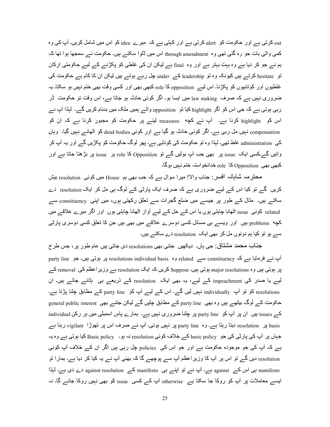out کرتی ہے اور حکومت کو alert کرتی ہے اور کہتی ہے کہ میر ے idea کو اس میں شامل کریں۔ آپ کی وہ کمی والٰی بات جو رہ گئی تھی وہ through amendment اس میں ڈلوا سکتے ہیں۔ حکومت نے سمجھا ہوا تھا کہ ہم نے جو کر دیا ہے وہ بہت بہتر ہے اور وہ final ہے لیکن ان کی غلطی کو پکڑنے کے لیے حکومتی ارکان تو hesitate کرتے ہیں کیونکہ وہ تو leadership کے under چل رہے ہوتے ہیں لیکن ان کا کام ہے حکومت کی غلطیوں اور کوتابیوں کو پکڑنا۔ اس لیے opposition کا role کبھی بھی اور کسی وقت بھی ختم نہیں ہو سکتا۔ یہ ضروری نہیں ہے کہ صرف law making میں ایسا ہو۔ اگر کوئی حادثہ ہو جاتا ہے، اس وقت تو حکومت ٹر رہی ہوتی ہے کہ جی اس کو اگر highlight کیا تو opposition والے ہمیں ملک میں بدنام کریں گے۔ لہٰذا آپ نے اس کو highlight کرنا ہے۔ آپ نے کچه measures لینے پر حکومت کو مجبور کرنا ہے کہ ان کو compensation نبیں مل رہی ہے۔ اگر کوئی حادثہ ہو گیا ہے اور کوئی dead bodies کو اٹھانے نبیں گیا۔ وہاں کی administration غلط تھی۔ لہٰذا وہ تو حکومت کی کوتاہی ہے۔ پھر لوگ حکومت کو پکڑیں گے اور یہ آپ کر وائیں گے۔کسی ایک issue پر بھی جب آپ بولیں گے تو Opposition کا role پر issue پر بڑھتا جاتا ہے اور کبھی بھی Opposition کا role خدانخو استہ ختم نہیں ہوگا۔

محترمہ شاہانہ افسر : جناب والا! میرا سوال ہے کہ جب بھی ہم House میں کوئی resolution بیش کریں گے تو کیا اس کے لیے ضروری ہے کہ صرف ایک پارٹی کے لوگ ہی مل کر ایک resolution دے سکتے ہیں۔ مثال کے طور پر جیسے میں ضلع گجرات سے تعلق رکھتی ہوں، میں اپنی constituency سے related کوئی issue اٹھانا چاہتی ہوں یا اس کے حل کے لیے آواز اٹھانا چاہتی ہوں اور اگر میرے علاقے میں کچه problems بیں اور ویسے ہی مسائل کسی دوسرے علاقے میں بھی بیں جن کا تعلق کسی دوسری پارٹی سے ہو تو کیا ہم دونوں مل کر بھی ایک resolution دے سکتے ہیں۔

جناب محمد مشتاق: جي ٻاں۔ ديکھيں جتني بھي resolutions دي جاتي ہيں عام طور پر ، جس طر ح party line سے resolutions individual basis وہ related ہوتی ہیں۔ جو party line ہے کہ پر ہوتی ہیں وہ major resolutions ہوتی ہیں۔ Suppose کریں کہ ایک resolution ہے وزیر اعظم کی removal کے لیے یا صدر کی impeachment کے لیے، یہ بھی ایک resolution کے ذریعے ہی بٹائے جاتے ہیں۔ ان resolutions کو تو آپ individually نہیں لیں گے۔ اس کے لیے آپ کو party line کے مطابق چلنا پڑتا ہے۔ حکومت کے لوگ بیٹھے ہیں وہ بھی party line کے مطابق چلیں گے لیکن جتنے بھی general public interest individual بیں ان پر آپ کو party line پر چلنا ضروری نہیں ہے۔ ہمارے پاس اسمبلی میں ہر رکن individual basis پر resolution دیتا رہتا ہے۔ وہ party line پر نہیں ہوتی۔ آپ نے صرف اس پر تھوڑا vigilant رہنا ہے جہاں پر آپ کی پارٹی کی جو basic policy کے خلاف کوئی resolution نہ ہو۔ Basic policy کیا ہوتی ہے وہ یہ ہے کہ آپ کی جو موجودہ حکومت ہے اور جو اس کی policies چل رہی ہیں اگر ان کے خلاف آپ کوئی resolution دیں گے تو اس پر آپ کا وزیر اعظم آپ سے پوچھے گا کہ بھئی آپ نے یہ کیا کر دیا ہے۔ ہمارا تو manifesto ہی اس کے against ہے۔ آپ نے تو اپنے ہی manifesto کے against resolution دے دی ہے۔ لہٰذا ایسے معاملات پر آپ کو روکا جا سکتا ہے otherwise آپ کے کسی issue کو بھی نہیں روکا جائے گا۔ نہ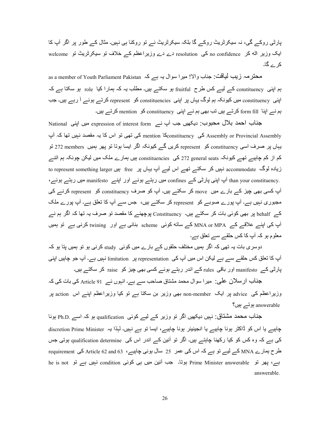پارٹی روکے گی، نہ سیکرٹریٹ روکے گا بلکہ سیکرٹریٹ نے تو روکنا ہی نہیں۔ مثال کے طور پر اگر آپ کا ایک وزیر اٹه کر no confidence کی resolution دے دے وزیراعظم کے خلاف تو سیکرٹریٹ تو welcome کر ے گا۔

as a member of Youth Parliament Pakistan ہحترمہ زیب لیاقت: جناب والا! میرا سوال یہ ہے کہ ہم اپنی constituency کے لیے کس طرح fruitful ہو سکتے ہیں۔ مطلب یہ کہ ہمارا کیا role ہو سکتا ہے کہ اپنی constituency میں کیونکہ ہم لوگ یہاں پر اپنی constituencies کو represent کرتے ہوئے آ رہے ہیں۔ جب ہم نے اپنا form fill کرتے ہیں تب بھی ہم نے اپنی constituency کو mention کرتے ہیں۔

جناب احمد بلال محبوب: دیکھیں جب آپ نے expression of interest form میں اپنی National Assembly or Provincial Assembly کی تھی تو اس کا یہ مقصد نہیں تھا کہ آب Assembly or Provincial Assembly یہاں پر صرف اسی constituency کو represent کریں گے کیونکہ اگر ایسا ہوتا تو پھر ہمیں amembers تو کم از کم چاہیے تھے کیونکہ general seats 25 کی constituencies ہیں ہمارے ملک میں لیکن چونکہ ہم انتے زیادہ لوگ accommodate نہیں کر سکتے تھے اس لیے آپ یہاں پر free بیں free to represent something larger .than your constituency آپ اپنی پارٹی کے confines میں رہتے ہوئے اور اپنے manifesto میں رہتے ہوئے، آپ کسی بھی چیز کے بارے میں move کر سکتے ہیں۔ آپ کو صرف constituency کو represent کرنے کی مجبوری نہیں ہے۔ آپ پورے صوبے کو represent کر سکتے ہیں، جس سے آپ کا تعلق ہے۔ آپ پورے ملک کے ,behalf پر بھی کوئی بات کر سکتے ہیں۔ Constituency پوچھنے کا مقصد تو صرف یہ تھا کہ اگر ہم نے آپ کی اپنے علاقے کے MNA or MPA کے ساته کوئی scheme بنانی ہے اور twining کرنی ہے تو ہمیں معلوم ہو کہ آپ کا کس حلقے سے تعلق ہے۔

دوسری بات یہ تھی کہ اگر ہمیں مختلف حلقوں کے بارے میں کوئی  $_3$   $_{\rm study}$  کرنی ہو تو ہمیں پتا ہو کہ آپ کا تعلق کس حلقے سے ہے لیکن اس میں آپ کی representation ہور limitation نہیں ہے۔ آپ جو چاہیں اپنی پارٹی کے manifesto اور باقی rules کے اندر رہتے ہوئے کسی بھی چیز کو raise کر سکتے ہیں۔

جناب ارسلان علی: میرا سوال محمد مشتاق صاحب سے ہے۔ انہوں نے Article 91 کی بات کی کہ وزیراعظم کی advice پر ایک non-member بھی وزیر بن سکتا ہے تو کیا وزیراعظم اپنے اس action پر answerable ہوتے ہیں؟

جناب محمد مشتاق: نہیں دیکھیں اگر تو وزیر کے لیے کوئی qualification ہو کہ اسے .ph.D ہونا چاہیے یا اس کو ڈاکٹر ہونا چاہیے یا انجینیئر ہونا چاہیے، ایسا تو ہے نہیں۔ لہٰذا یہ discretion Prime Minister کی ہے کہ وہ کس کو کیا رکھنا چاہتے ہیں۔ اگر تو آئین کے اندر اس کی qualification determine ہوتی جس طرح ہمارے MNA کے لیے تو ہے کہ اس کی عمر 25 سال ہونی چاہیے، Article 62 and 63 کی requirement ہے، پھر تو Prime Minister answerable ہوتا۔ جب آئین میں ہی کوئی condition نہیں ہے تو he is not answerable.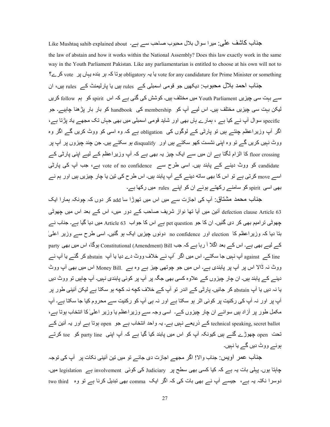جناب کاشف علی ِ میرا سوال بلال محبوب صاحب سے ہے۔ Like Mushtaq sahib explained about the law of abstain and how it works within the National Assembly? Does this law exactly work in the same way in the Youth Parliament Pakistan. Like any parliamentarian is entitled to choose at his own will not to vote for any candidature for Prime Minister or something ہوتا کہ ہر بندہ یہاں پر vote کرے؟

جناب احمد بلال محبوب: دیکھیں جو قومی اسمبلی کے rules ہیں یا پارلیمنٹ کے rules ہیں، ان سے بہت سی چیز پں Youth Parliament میں مختلف ہیں۔ کو شش کی گئی ہے کہ اس spirit کو ہم follow کر یں لیکن بہت سی چیزیں مختلف ہیں۔ اس لیے آپ کو membership کی handbook کو بار بار پڑھنا چاہیے۔ جو pecific سوال آپ نے کیا ہے ، ہمارے ہاں بھی اور شاید قومی اسمبلی میں بھی جہاں تک مجھے یاد پڑتا ہے، اگر آپ وزیراعظم چنتے ہیں تو پارٹی کے لوگوں کی obligation ہے کہ وہ اسی کو ووٹ کریں گے اگر وہ ووٹ نہیں کریں گے تو وہ اپنی نشست کھو سکتے ہیں اور disqualify ہو سکتے ہیں۔ جن چند چیزوں پر آپ پر floor crossing کا الزام لگتا ہے ان میں سے ایک چیز پہ بھی ہے کہ آپ وزیراعظم کے لیے اپنی پارٹی کے candidate کو ووٹ دینے کے پابند ہیں۔ اسی طرح سے vote of no confidence ہے، جب آپ کی پارٹی اسے move کرتی ہے تو اس کا بھی ساته دینے کے آپ پابند ہیں۔ اس طرح کی تین یا چار چیزیں ہیں اور ہم نے بھے، اسے، spirit کو سامنے رکھتے ہوئے ان کو اپنے rules میں رکھا ہے۔

جناب محمد مشتاق: آپ کی اجازت سے میں اس میں تھوڑا سا add کر دوں کہ جونکہ ہمارا ایک defection clause Article 63 أئين ميں آيا تھا نواز شريف صاحب كے دور ميں، اس كے بعد اس ميں جھوٹى چھوٹی تر امیم بھی کر دی گئیں۔ ان کا جو pet question ہے اس کا جواب 63 Article میں دیا گیا ہے۔ جناب نے بتا دیا کہ وزیراعظم کا election اور mo confidence دونوں چیزیں ایک ہو گئیں۔ اسی طرح سے وزیر اعلیٰ کے لیے بھی ہے۔ اس کے بعد اگلا آ رہا ہے کہ جب Constitutional (Amendment) Bill ہوگا، اس میں بھی party line اکس against آپ نہیں جا سکتے۔ اس میں اگر أَپ نے خلاف ووٹ دے دیا یا آپ abstain کر گئے یا آپ نے ووٹ نہ ڈالا اس پر آپ پر پابندی ہے۔ اس میں جو چوتھی چیز ہے وہ ہے۔ Money Bill اس میں بھی آپ ووٹ دینے کے پابند ہیں۔ ان چار چیزوں کے علاوہ کسی بھی جگہ پر آپ پر کوئی پابندی نہیں۔ آپ چاہیں نو ووٹ دیں یا نہ دیں یا آپ abstain کر جائیں۔ پارٹی کے اندر تو آپ کے خلاف کچه نہ کچه ہو سکتا ہے لیکن آئینی طور پر آپ پر اور نہ آپ کی رکنیت پر کوئی اثر ہو سکتا ہے اور نہ ہی آپ کو رکنیت سے محروم کیا جا سکتا ہے۔ آپ مکمل طور پر آزاد ہیں سوائے ان چار چیزوں کے۔ اسی وجہ سے وزیراعظم یا وزیر اعلیٰ کا انتخاب ہوتا ہے، technical speaking, secret ballot کے ذریعے نبیں ہے۔ یہ واحد انتخاب ہے جو open ہوتا ہے اور یہ آئین کے تحت open چھوڑے گئے ہیں کیونکہ آپ کو اس میں پابند کیا گیا ہے کہ آپ اپنی party line کو toe کرتے ہوئے ووٹ دہں گے با نہیں۔

جذاب عمر اویس: جناب والا! اگر مجھے اجازت دی جائے تو میں تین آئینی نکات پر آپ کی توجہ چاہتا ہوں۔ پہلی بات یہ ہے کہ کیا کسی بھی سطح پر Judiciary کی کوئی involvement ہے legislation ہیں۔ دوسرا نکتہ یہ ہے، جیسے آپ نے بھی بات کی کہ اگر ایک comma بھی تبدیل کرنا ہے تو وہ two third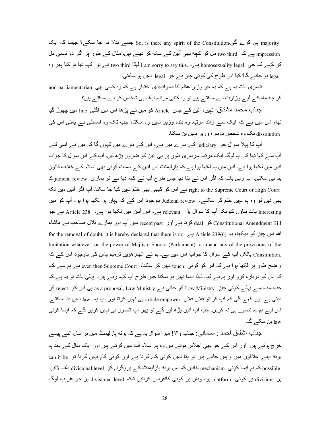ہی کرے گی۔ $\sim$  So, is there any spirit of the Constitution ہی کرے گی۔ $\gamma$  majority impression ہے کہ two third مل کر کچه بھی آئین کے ساته کر دیتے ہیں۔ مثال کے طور پر اگر دو تہائی مل کر کہہ کہ جی homosexuality legal ہے، I am sorry to say this. ہاہڈا two third نے تو کہہ دیا تو کیا پھر وہ legal ہو جائے گا؟ کیا اس طرح کی کوئی چیز ہے جو legal نہیں ہو سکتی۔

تیسری بات یہ ہے کہ یہ جو وزیر اعظم کا صوابدیدی اختیار ہے کہ وہ کسی بھی non-parliamentarian کو جه ماه کے لیے وزارت دے سکتے ہیں تو وہ کتنی مرتبہ ایک ہی شخص کو دے سکتے ہیں؟

جذاب محمد مشتاق: نہیں، آئین کے جس Article کو میں نے پڑھا اس میں اگلی line میں چھوڑ گیا تھا، اس میں ہے کہ ایک سے زائد مرتبہ وہ بندہ وزیر نہیں رہ سکتا، جب تک وہ اسمبلی ہے بعنی اس ک*ی* dissolution تک وہ شخص دوبارہ وزیر نہیں بن سکتا۔

آپ کا پہلا سوال جو judiciary کے بارے میں ہے، اس کے بارے میں کہوں گا کہ میں نے اسی لئے آپ سے کہا تھا کہ آپ لوگ ایک مرتبہ سرسری طور پر ہی آئین کو ضرور پڑھ لیں۔ آپ کے اس سوال کا جواب آئین میں لکھا ہوا ہے۔ آئین میں یہ لکھا ہوا ہے کہ پارلیمنٹ اس آئین کے سمیت کوئی بھی اسلام کے خلاف قانون بنا ہی سکتی۔ اب رہی بات کہ اگر اس نے بنا دیا جس طرح آپ نے کہہ دیا ہے تو ہماری judicial review کا right to the Supreme Court or High Court ہے اس کو کبھی بھی ختم نہیں کیا جا سکتا۔ آپ اگر آئین میں لکه بھی دیں تو وہ ہم نہیں ختم کر سکتے۔ Judicial review باوجود اس کے کہ یہاں پر لکھا ہوا ہو، آپ کو میں interesting بات بتاؤں کیونکہ آپ کا سوال بڑا۔ relevant ہے، اس آئین میں لکھا ہوا ہے، 238 Article ہے جو constitutional Amendment Bill کو deal کرتا ہے اور ecent past میں آپ اور ہمارے بلال صاحب نے ماشاء for the removal of doubt, it is hereby declared that there is no ہے Article 239(6) ہے (F) ،F $\alpha$  ،F $\alpha$  ،  $\alpha$  ،  $\alpha$   $\alpha$  ،  $\alpha$  ،  $\alpha$  ،  $\alpha$  ،  $\alpha$  ،  $\alpha$  ،  $\alpha$  ،  $\alpha$  ،  $\alpha$  ،  $\alpha$  ،  $\alpha$  ،  $\alpha$  ،  $\alpha$  ،  $\alpha$  ،  $\alpha$ limitation whatever, on the power of Majlis-e-Shoora (Parliament) to amend any of the provisions of the .Constitution بالکل آپ کے سوال کا جواب اس میں ہے۔ ہم نے اٹھار ہویں ترمیم پاس کی باوجود اس کے کہ واضح طور پر لکھا ہوا ہے کہ اس کو کوئی touch نہیں کر سکتا، even then Supreme Court نے ہم سے کہا کہ اس کو دوبارہ کرو اور ہم نے کیا۔ لہٰذا ایسا نہیں ہو سکتا جس طرح آپ کہہ رہے ہیں۔ پہلی بات تو یہ ہے کہ جب سب سے پہلے کوئی چیز Law Ministry کو جاتی ہے as a proposal, Law Ministry کر Law Ministry کر دیتی ہے اور کہے گی کہ آپ کو تو فلاں فلاں article empower ہی نبیں کرتا اور آپ یہ law نبیں بنا سکتے۔ اس لیے ہم یہ تصور ہی نہ کریں۔ جب آپ آئین پڑ ھ لیں گے تو پھر آپ تصور ہی نہیں کریں گے کہ ایسا کوئی law بن سکے گا۔

جناب اشفاق احمد رستمانی: جناب والا! میرا سوال یہ ہے کہ یوته پارلیمنٹ میں ہر سال اتنے پیسے <u>خرج ہوت</u>ے ہیں۔اور اس کے جو بھی اجلاس ہوتے ہیں وہ ہم اسلام آباد میں کرتے ہیں اور ایک سال کے بعد ہم یوته اپنے علاقوں میں واپس جاتے ہیں تو پتا نہیں کوئی کام کرتا ہے اور کوئی کام نہیں کرتا تو can it be possible کہ ہم ایسا کوئی mechanism بنائیں کہ اس پوته پارلیمنٹ کے پروگرام کو divisional level تک لائیں۔ بر division پر کوئی platform ہو، وہاں پر کوئی کانفرنس کرائیں تاکہ divisional level پر جو غریب لوگ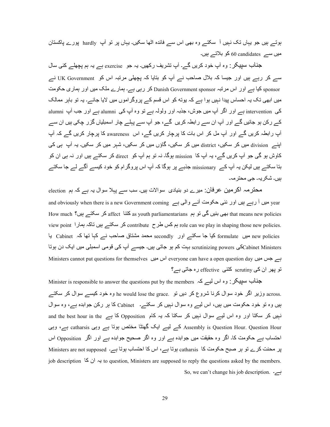بوتے ہیں جو یہاں تک نہیں آ سکتے وہ بھی اس سے فائدہ اٹھا سکیں۔ یہاں پر تو آپ hardly پور ے پاکستان میں سے candidates 60 کو بلاتے ہیں۔

جذاب سپیکر : وہ أپ خود کریں گے۔ أپ تشریف رکھیں۔ یہ جو exercise ہے یہ ہم پچھلے کئی سال سے کر رہے ہیں اور جیسا کہ بلال صاحب نے آپ کو بتایا کہ بچھلی مرتبہ اس کو UK Government نے sponsor کیا ہے اور اس مرتبہ Danish Government sponsor کر رہی ہے۔ ہمارے ملک میں اور ہماری حکومت میں ابھی تک یہ احساس پیدا نہیں ہوا ہے کہ پوته کو اس قسم کے پروگر اموں میں لایا جائے۔ یہ تو باہر ممالک کی intervention ہے اور اگر آپ میں جوش، جذبہ اور ولولہ ہے تو وہ آپ کی alumni ہے اور جب آپ alumni کے رکن ہو جائیں گے اور آپ ان سے رابطہ کریں گے، جو آپ سے پہلے چار اسمبلیاں گزر چکی ہیں ان سے آپ رابطہ کریں گے اور آپ مل کر اس بات کا پرچار کریں گے، اس awareness کا پرچار کریں گے کہ آپ اپنے division میں کر سکیں، district میں کر سکیں، گاؤں میں کر سکیں، شہر میں کر سکیں۔ یہ آپ ہی کی كاوش ہو گى جو آپ كريں گے، يہ آپ كا mission ہوگا۔ نہ تو ہم آپ كو direct كر سكتے ہيں اور نہ ہى ان كو بتا سکتے ہیں لیکن یہ آپ کے missionary جذبے پر ہوگا کہ آپ اس پروگرام کو خود کیسے آگے لے جا سکتے ہبر،۔ شکر بہ۔ جے محتر مہ۔

محترمہ اکرمین عرفان: میرے دو بنیادی سوالات ہیں۔ سب سے پہلا سوال یہ ہے کہ ہم election and obviously when there is a new Government coming  $\qquad\mapsto$  والی ہے gear اور نئی حکومت آنے و $\rm year$ How much 'بھی بنیں گی تو ہم as youth parliamentarians کر سکتے ہیں؟ How much ہیں بنیں کی تو ہم view point ) ہم کس طرح contribute کر سکتے ہیں تاکہ ہمارا $r$  can we play in shaping those new policies. new policies میں formulate کیا جا سکتے اور secondly معمد مشتاق صاحب نے کہا تھا کہ Cabinet یا Cabinet Ministersکی scrutinizing powers بہت کم ہو جاتی ہیں۔ جیسے آپ کی قومی اسمبلی میں ایک دن ہوتا Ministers cannot put questions for themselves اس میں everyone can have a open question day اس میں Ministers cannot تو پھر ان کی scrutiny کتنی effective رہ جاتی ہے؟

Minister is responsible to answer the questions put by the members  $\sim$ ے.  $\sim$  اس لیسے کہ ,across وزیر اگر خود سوال کرنا شروع کر دیں نو he would lose the grace. وہ خود کیسے سوال کر سکتے ہیں وہ تو خود حکومت میں ہیں، اس لیے وہ سوال نہیں کر سکتے۔ Cabinet کا ہر رکن جوابدہ ہے، وہ سوال نبیں کر سکتا اور وہ اس لیے سوال نہیں کر سکتا کہ یہ کام Opposition کا ہے and the best hour in the Assembly is Question Hour. Question Hour کے لیے ایک گھنٹا مختص ہوتا ہے catharsis ہے، وہی احتساب ہے حکومت کا۔ اگر وہ حقیقت میں جوابدہ ہے اور وہ اگر صحیح جوابدہ ہے اور اگر Opposition اس پر محنت کرے تو ہر صبح حکومت کا catharsis ہوتا ہے، اس کا احتساب ہوتا ہے۔ Ministers are not supposed job description  $\leq \cup$   $\geq$  to question, Ministers are supposed to reply the questions asked by the members. So, we can't change his job description. ہے۔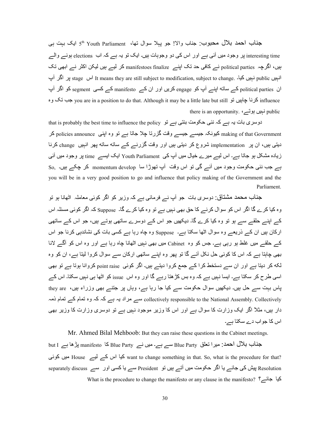جناب احمد بلال محبوب: جناب والا! جو پہلا سوال تھا، S<sup>th</sup> Youth Parliament ایک بہت ہی interesting time پر وجود میں آئی ہے اور اس کی دو وجوہات ہیں۔ ایک تو یہ ہے کہ اب elections ہونے والے ہیں، اگرچہ political parties نے کافی حد تک اپنے manifestoes finalize کر لیے ہیں لیکن اکثر نے ابھی تک انبیں stage انہیں It means they are still subject to modification, subject to change. پر اگر آپ ان political parties کے ساته اپنے آپ کو engage کریں اور ان کے manifesto کے کسی segment کو اگر آپ وہ بن you are in a position to do that. Although it may be a little late but still کرنا چاہیں تو you are in a position to do that. Although it may be a little late but still there is an opportunity. نبیں ہوتے،

that is probably the best time to influence the policy ہے ہے کہ نئی حکومت بنتی ہے تو making of that Government کیونکہ جیسہ جیسہ وقت گزرتا چلا جاتا ہے تو وہ اپنی policies announce کر دیتی ہیں، ان پر implementation شروع کر دیتی ہیں اور وقت گزرنے کے ساته ساته پھر انہیں change کرنا زیادہ مشکل ہو جاتا ہے۔ اس لیے میر ے خیال میں آپ کی Youth Parliament ایک ایسے time پر وجود میں آئی بے جب نئی حکومت وجود میں آئے گی تو اس وقت آپ تھوڑا سا momentum develop کر چکے ہیں۔ So, you will be in a very good position to go and influence that policy making of the Government and the Parliament.

جذاب محمد مشتاق: دوسری بات جو آپ نے فرمائی ہے کہ وزیر کو اگر کوئی معاملہ اٹھانا ہو تو وہ کیا کرے گا اگر اس کو سوال کرنے کا حق بھی نہیں ہے تو وہ کیا کرے گا۔ Suppose کہ اگر کوئی مسئلہ اس کے اینے حلقے سے ہو تو وہ کیا کرے گا۔ دیکھیں جو اس کے دوسرے ساتھی ہوتے ہیں، جو اس کے ساتھی ارکان ہیں ان کے ذریعے وہ سوال اٹھا سکتا ہے۔ Suppose وہ چاہ رہا ہے کسی بات کی نشاندہی کرنا جو اس کے حلقے میں غلط ہو رہے ہے۔ جس کو وہ Cabinet میں بھی نہیں اٹھانا جاہ رہا ہے اور وہ اس کو آگے لانا بھی چاہتا ہے کہ اس کا کوئی حل نکل آئے گا تو پھر وہ اپنے ساتھی ارکان سے سوال کروا لیتا ہے، ان کو وہ لکه کر دیتا ہے اور ان سے دستخط کرا کے جمع کروا دیتے ہیں۔ اگر کوئی point raise کروانا ہوتا ہے تو بھی اسی طرح کر سکتا ہے۔ ایسا نہیں ہے کہ وہ بس کڑھتا رہے گا اور وہ اس issue کو اٹھا ہی نہیں سکتا۔ اس کے پاس بہت سے حل ہیں۔ دیکھیں سوال حکومت سے کیا جا رہا ہے، وہاں پر جتنے بھی وزراء ہیں، they are collectively responsible to the National Assembly. Collectively سے ہر اد یہ ہے کہ کہ وہ تمام کے تمام ذمہ دار ہیں، مثلاً اگر ایک وزارت کا سوال ہے اور اس کا وزیر موجود نہیں ہے تو دوسری وزارت کا وزیر بھی اس کا جو اب دے سکتا ہے۔

Mr. Ahmed Bilal Mehboob: But they can raise these questions in the Cabinet meetings. جناب بلال احمد: میر ا تعلق Blue Party سے ہے۔ میں نے Blue Party کا manifesto پڑھا ہے but I س کے لیے House کیا اس کے لیے want to change something in that. So, what is the procedure for that? Resolution پیش کی جائے یا اگر حکومت میں آتے ہیں تو President سے یا کسی اور سے separately discuss What is the procedure to change the manifesto or any clause in the manifesto?  $\Sigma$ یا جائے؟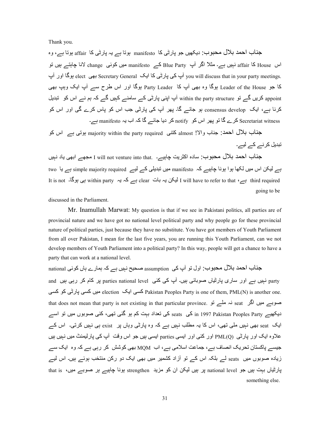Thank you.

جناب احمد بلال محبوب: دیکھیں جو پارٹی کا manifesto ہوتا ہے یہ پارٹی کا affair ہوتا ہے، وہ اس affair کا affair نہیں ہے۔ مثلاً اگر آپ Blue Party کے manifesto میں کوئی change لانا چاہتے ہیں تو you will discuss that in your party meetings. آپ کی پارٹی کا ایک Secretary General بھی elect ہوگا اور آب کا جو Leader of the House ہوگا وہ بھی آپ کا Party Leader بوگا اور اس طرح سے آپ ایک وہپ بھی appoint کریں گے تو within the party structure آپ اپنی پارٹی کے سامنے کہیں گے کہ ہم نے اس کو تبدیل کرنا ہے، ایک consensus develop ہو جائے گا۔ پھر آپ کی پارٹی جب اس کو پاس کرے گی اور اس کو Secretariat witness کرے گا تو پھر اس کو notify کر دیا جائے گا کہ اب یہ manifesto ہے۔

جناب بلال احمد: جناب والا! almost كتنى majority within the party required بوتى ہے اس كو تبدیل کر نے لیے۔

جناب احمد بلال محبوب: سادہ اکثریت چاہیے۔ . I will not venture into that مجھے ابھی یاد نہیں ہے لیکن اس میں لکھا ہوا ہونا چاہیے کہ manifesto میں تبدیلی کے لیے simple majority required ہے یا two It is not ۔ہے ہیں within party ہے clear ہے clear ہے کہ یہ within party ہی ہوگا۔ It is not going to be

discussed in the Parliament.

Mr. Inamullah Marwat: My question is that if we see in Pakistani politics, all parties are of provincial nature and we have got no national level political party and why people go for these provincial nature of political parties, just because they have no substitute. You have got members of Youth Parliament from all over Pakistan, I mean for the last five years, you are running this Youth Parliament, can we not develop members of Youth Parliament into a political party? In this way, people will get a chance to have a party that can work at a national level.

جناب احمد بلال محبوب: اول تو آپ کی assumption صحیح نہیں ہے کہ ہمارے ہاں کوئی national and نہیں ہے اور ساری پارٹیاں صوبائی ہیں۔ آپ کی کئی parties national level پر کام کر رہی ہیں and m8n Xn mرٹFy m8n ں.G election Vا m8n Pakistan Peoples Party is one of them, PML(N) is another one. that does not mean that party is not existing in that particular province. نہ ملے تو دیکھیے in 1997 Pakistan Peoples Party اسر seats کی تعداد بہت کم ہو گئی تھی، کئی صوبوں میں تو اسے ایک seat بھی نبیں ملی تھی، اس کا یہ مطلب نبیں ہے کہ وہ پارٹی وہاں پر exist ہی نبیں کرتی۔ اس کے علاوہ ایک اور پارٹی PML(O) اور کئی اور ایسی parties ایسی ہیں جو اس وقت آپ کی پارلیمنٹ میں نہیں ہیں جیسے پاکستان تحریک انصاف ہے، جماعت اسلامی ہے، اب MQM بھی کوشش کر رہی ہے کہ وہ ایک سے زیادہ صوبوں میں seats لے بلکہ اس کے تو آزاد کشمیر میں بھی ایک دو رکن منتخب ہوئے ہیں۔ اس لیے پارٹیاں بہت بیں جو national level پر بیں لیکن ان کو مزید strengthen ہونا چاہیے ہر صوبے میں، that is something else.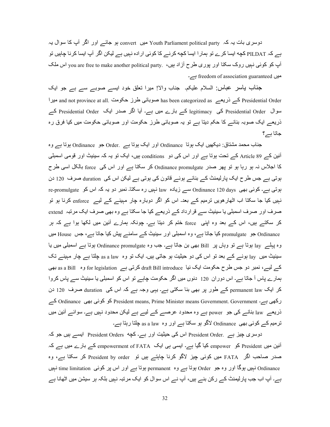دوسری بات یہ کہ Youth Parliament political party میں convert ہو جائے اور اگر آپ کا سوال یہ ہے کہ PILDAT کچه ایسا کرے تو ہمار ا ایسا کچه کرنے کا کوئی ار اده نہیں ہے لیکن اگر آپ ایسا کر نا چاہیں تو آپ کو کوئی نہیں روک سکتا اور پوری طرح آزاد ہیں، . you are free to make another political party اس ملک میں freedom of association guaranteed ہے۔

جذاب پاسر عباس: السلام علیکم۔ جناب والا! میرا تعلق خود ایسے صوبے سے ہے جو ایک Presidential Order کے ذریعے has been categorized as صوبائی طرز حکومت and not province at all. میرا سوال Presidential Order کی legitimacy کے بارے میں ہے۔ آیا اگر صدر ایک Presidential Order کے ذریعے ایک صوبہ بنانے کا حکم دیتا ہے تو یہ صوبائی طرز حکومت اور صوبائی حکومت میں کیا فرق رہ جاتا ہے؟

جناب محمد مشتاق: دیکھیں ایک ہوتا Ordinance اور ایک ہوتا ہے .Order جو Ordinance ہوتا ہے وہ أئين كـــر Article 89 كـــر تحت بوتا ہـــر اور اس كـي دو conditions بيں، ايك تو يہ كہ سينيٹ اور قومي اسمبلي کا اجلاس نہ ہو رہا ہو تو پھر صدر Ordinance promulgate کر سکتا ہے اور اس کی force بالکل اسی طرح ہوتی ہے جس طرح ایک پارلیمنٹ کے بنائے ہوئے قانون کی ہوتی ہے لیکن اس کی duration صرف 120 دن ہوتی ہے۔ کوئی بھی Ordinance 120 days سے زیادہ law نہیں رہ سکتا۔ نمبر دو یہ کہ اس کو re-promulgate نہیں کیا جا سکتا اب اٹھار ہویں ترمیم کے بعد۔ اس کو اگر دوبارہ چار مہینے کے لیے enforce کرنا ہو تو صرف اور صرف اسمبلی یا سینیٹ سے قرارداد کے ذریعے کیا جا سکتا ہے وہ بھی صرف ایک مرتبہ extend کر سکتے ہیں، اس کے بعد وہ اپنی force ختم کر دیتا ہے۔ چونکہ ہمارے آئین میں لکھا ہوا ہے کہ ہر ordinance جو promulgate کیا جاتا ہے، وہ اسمبلی اور سینیٹ کے سامنے بیش کیا جاتا ہے، جس House میں وہ پہلے lay ہوتا ہے تو وہاں پر Bill بھی بن جاتا ہے۔ جب وہ Ordinance promulgate ہوتا ہے اسمبلی میں یا سینیٹ میں lay ہونے کے بعد تو اس کی دو حیثیت ہو جاتی ہیں۔ ایک تو وہ as a law چلتا ہے چار مہینے تک کے لیے، نمبر دو جس طرح حکومت ایک نیا draft Bill introduce کرتی ہے for legislation وہ as a Bill وہ ہمارے پاس آ جاتا ہے۔ اس دور ان 120 دنوں میں اگر حکومت چاہے تو اس کو اسمبلی یا سینیٹ سے پاس کروا کر ایک permanent law کے طور پر بھی بنا سکتی ہے۔ یہی وجہ ہے کہ اس کی duration صرف 120 دن رکھی ہے۔ President means, Prime Minister means Government. Government کو کوئی بھی Ordinance کے ذریعے law بنانے کی جو power ہے وہ محدود عرصے کے لیے ہے لیکن محدود نہیں ہے۔ سوائے آئین میں ترمیم کے کوئی بھی Ordinance لاگو ہو سکتا ہے اور وہ as a law چلتا رہتا ہے۔

دوسری چیز ہے . President Order اس کی حیثیت اور ہے۔ کچه President Orders ایسے ہیں جو کہ آئین میں President کو empower کیا گیا ہے۔ ایسی ہی ایک empowerment of FATA کے بارے میں ہے کہ صدر صاحب اگر FATA میں کوئی چیز لاگو کرنا چاہتے ہیں تو President by order کر سکتا ہے، وہ Ordinance نہیں ہوگا اور وہ جو Order ہوتا ہے وہ permanent ہوتا ہے اور اس پر کوئی time limitation نہیں ہوگا اور وہ جو ہے۔ آپ اب جب پارلیمنٹ کے رکن بنے ہیں، آپ نے اس سوال کو ایک مرتبہ نہیں بلکہ ہر سیشن میں اٹھانا ہے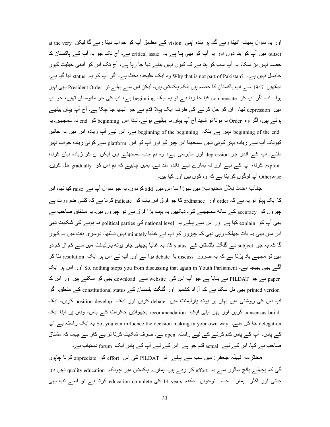اور یہ سوال ہمیشہ اٹھتا رہے گا۔ ہر بندہ اپنی vision کے مطابق آپ کو جواب دیتا رہے گا لیکن at the very outset میں آپ کو بنا دوں اور یہ آپ کو بھی پنا ہے یہ critical issue ہے۔ آج نک جو یہ آپ کے پاکستان کا حصہ نہیں بن سکا، یہ آپ سب کو پتا ہے کہ کیوں نہیں بننے دیا جا رہا ہے، آج تک اس کو آئینی حیثیت کیوں حاصل نہیں ہے۔ ?Why that is not part of Pakistan وہ ایک علیحدہ بحث ہے۔ اگر آپ کو یہ status دیا گیا ہے۔ دیکھیں 1947 سے آپ پاکستان کا حصہ ہیں بلکہ پاکستان ہیں، لیکن اس سے پہلے تو President Order بھی نہیں پوا۔ اب اگر آپ کو compensate کیا جا رہا ہے تو یہ ایک beginning ہے، آپ کی جو مایوسیاں تھیں، جو آپ میں depression تھا، ان کو حل کرنے کی طرف ایک پہلا قدم ہے جو اٹھایا جا چکا ہے۔ آج آپ یہاں بیٹھے ہوئے ہیں، اگر وہ Order نہ ہوتا تو شاید آج آپ یہاں نہ بیٹھے ہوتے۔ لہٰذا اس beginning کو end نہ سمجھیں۔ یہ beginning نہیں ہے بلکہ beginning of the beginning ہے۔ اس لیے آپ زیادہ اس میں نہ جائیں } کیونکہ آپ سے زیادہ بہتر کوئی نہیں سمجھتا اس چیز کو اور آپ کو اس platform سے کوئی زیادہ جواب نہیں ملنے۔ آپ کے اندر جو depression اور مایوسی ہے، وہ ہم سب سمجھتے ہیں لیکن ان کو زیادہ بیان کرنا، exploit کرنا، آپ کے لیے اور نہ ہمارے لیے فائدہ مند ہے۔ ہمیں چاہیے کہ ہم اس کو gradually حل کریں۔ Otherwise آپ لوگوں کو بِنا ہے کہ وہ کون ہیں اور کیا ہیں۔

جناب احمد بلال محبوب: میں تھوڑا سا اس میں add کردوں۔ یہ جو سوال آپ نے raise کیا تھا، اس کا ایک پہلو تو یہ ہے کہ order اور ordinance کا جو فرق اس بات کو indicate کرتا ہے کہ کتنی ضرورت ہے چیزوں کو accuracy کے ساته سمجھنے کی۔ دیکھیں یہ بہت بڑا فرق ہے دو چیزوں میں۔ یہ مشتاق صاحب نے بھی آپ کو <sub>explain</sub> کیا ہے اور اس سے پہلے یہ national level کی political parties نہ ہونے کی شکایت تھی اس میں بھی یہ بات جھلک رہی تھی کہ چیزوں کو آپ نے غالباً minutely نہیں دیکھا۔ دوسری بات میں یہ کہوں گا کہ یہ جو subject ہے گلگت بلتستان کے status کا، یہ غالباً پچھلی چار یوته پارلیمنٹ میں سے کم از کم دو میں تو مجھے یاد پڑتا ہے کہ یہ ضرور discuss یا debate ہوا ہے اور آپ نے اس پر ایک resolution بنا کر آگے بھی بھیجا ہے۔ So, nothing stops you from discussing that again in Youth Parliament اور اس پر ایک paper ہے جو PILDAT نے بنایا ہے جو آپ اس کی website سے download بھی کر سکتے ہیں اور اس کا printed version بھی مل سکتا ہے کہ آزاد کشمیر اور گلگت بلتستان کے constitutional status کے متعلق اگر آپ اس کی روشنی میں یہاں پر یونه پارلیمنٹ میں debate کریں اور ایک position develop کریں، ایک consensus build کریں اور پھر اپنی ایک recommendation بجھوائیں حکومت کے پاس، وہاں پر اپنا ایک پر ایک راستہ ہے So, you can influence the decision making in your own way. یہ ایک راستہ ہے آپ یہ Fo, you can influence the decision making in your own way. کے پاس۔ آپ کے پاس کام کرنے کے لیے راستہ open ہے۔ صرف شکایت کرنا تو بے کار ہے جیسا کہ مشتاق صاحب نے کہا۔ اس کے لیے actual قدم جو ہے اس کے لیے آپ کے یاس ایک forum دستیاب ہے۔

محترمہ نبیلہ جعفر : میں سب سے پہلے تو PILDAT کی اس effort کو appreciate کرنا چاہوں گی کہ پچھلے پانچ سالوں سے یہ effort کر رہے ہیں۔ ہمارے پاکستان میں چونکہ quality education نہیں دی جاتی اور اکثر ہمارا جب نوجوان طبقہ 14 years کی education complete کرتا ہے تو اسے تب بھی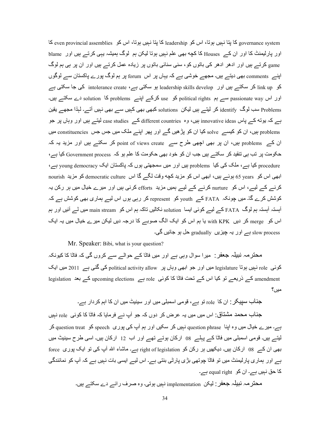Frace system کا پتا نہیں ہوتا، اس کو leadership کا پتا نہیں ہوتا، اس کو even provincial assemblies کا ہیں ہوتا اور بارلیمنٹ کا اور ان کے Houses کا کچه بھی علم نہیں ہوتا لیکن ہم لوگ ہمیشہ یہی کرتے ہیں اور blame game کرتے ہیں اور ادھر ادھر کے باتوں کو، سنی سنائی باتوں پر زیادہ عمل کرتے ہیں اور ان پر ہی ہم لوگ اپنے comments بھی دیتے ہیں۔ مجھے خوشی ہے کہ یہاں پر اس forum پر ہم لوگ پور ے پاکستان سے لوگوں کو link up کر سکتے ہیں اور leadership skills develop ہو سکتی ہے intolerance create کی جا سکتی ہے اور اس passionate way سے ہم political rights کو use کرکے اینے problems کا solution دے سکتے ہیں۔ problems سب لوگ identify کر لیتے ہیں لیکن solutions کبھی بھی کہیں سے بھی نہیں آتے۔ لہٰذا مجھے یقین ہے کہ بونه کے پاس innovative ideas ہیں، وہ different countries کے case studies لیتے ہیں اور وہاں پر جو problems بیں، ان کو کیسے solve کیا ان کو پڑھیں گے اور یھر اپنے ملک میں جس جس constituencies میں ان کے problems بیں، ان پر بھی اچھی طرح سے point of views create کر سکتے ہیں اور مزید یہ کہ حکومت پر تب ہی تنقید کر سکتے ہیں جب ان کو خود بھی حکومت کا علم ہو کہ Government process کیا ہے، problems کیا ہے، ملک کی کیا problems ہیں اور میں سمجھتی ہوں کہ پاکستان ایک young democracy ہے، ابھی اس کو years 65 بوئسے بیں، ابھی اس کو مزید کچه وقت لگے گا اس democratic culture کو مزید nourish کرنے کے لیے، اس کو nurture کرنے کے لیے ہمیں مزید efforts کرنی ہیں اور میرے خیال میں ہر رکن یہ کوشش کرے گا۔ میں چونکہ FATA کے youth کو represent کر رہے ہوں اس لیے ہماری بھی کوشش ہے کہ آبستہ آبستہ ہم لوگ FATA کے لیے کوئی ایسا solution نکالیں تاکہ ہم اس کو main stream میں لے آئیں اور ہم اس کو۔ merge کر دیں۔ with KPK پا ہم اس کو ایک الگ صوبے کا درجہ دیں لیکن میرے خیال میں یہ ایک slow process ہے اور یہ چیزیں gradually حل ہو جائیں گی۔

Mr. Speaker: Bibi, what is your question?

محنر مہ نبیلہ جعفر : میر ا سوال وہی ہے اور میں فاٹا کے حوالے سے کروں گی کہ فاٹا کا کیونکہ کوئی role نہیں ہوتا legislature میں اور جو ابھی وہاں پر political activity allow کی گئی ہے 2011 میں ایک legislation کے ذریعے تو کیا اس کے تحت فاٹا کا کوئی role ہے proming elections کے بعد legislation ای میں؟

جذاب سبیکر : ان کا role تو ہے، قومی اسمبلی میں اور سبنیٹ میں ان کا اہم کردار ہے۔ جذاب محمد مشتاق: اس میں میں یہ عرض کر دوں کہ جو آپ نے فرمایا کہ فاٹا کا کوئی <sub>role</sub> نہیں

ہے۔ میرے خیال میں وہ اپنا question phrase نہیں کر سکیں اور ہم آپ کی پوری speech کو question treat کر لیتے ہیں۔ قومی اسمبلی میں فاٹا کے پہلے 08 ارکان ہوتے تھے اور اب 12 ارکان ہیں۔ اسی طرح سینیٹ میں بھی ان کے 08 ارکان ہیں۔ دیکھیں ہر رکن کو right of legislation ہے۔ ماشاء اللہ آپ کی تو ایک پوری force ہے اور ہماری پارلیمنٹ میں تو فا<del>ٹ</del>ا چوتھی بڑی پارٹی بنتی ہے۔ اس لیے ایسی بات نہیں ہے کہ آپ کو نمائندگی کا حق نہیں ہے۔ ان کو equal right ہے۔

محترمہ نبیلہ جعفر : لیکن implementation نہیں ہوتی۔ وہ صرف رائے دے سکتے ہیں۔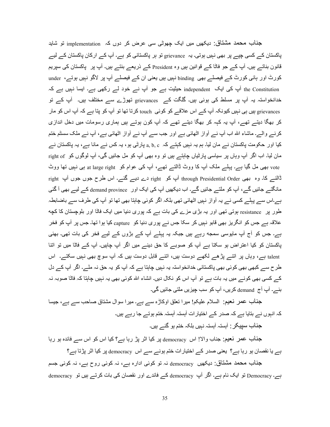جناب محمد مشتاق: دیکھیں میں ایک چھوٹی سی عرض کر دوں کہ implementation تو شاید پاکستان کے کسی چپے پر بھی نہیں ہوتی۔ یہ grievance تو ہر پاکستانی کو ہے۔ آپ کے ارکان پاکستان کے لیے قانون بناتــہ ہیں۔ آپ کــہ جو فاٹا کــہ قوانین ہیں وہ President کــہ ذریعـے بنتــے ہیں۔ آپ پر پاکستان کـی سپریم کورٹ اور ہائی کورٹ کے فیصلے بھی binding نہیں ہیں یعنی ان کے فیصلے آپ پر لاگو نہیں ہوتے، under the Constitution اُپ کی ایک independent حیثیت ہے جو آپ نے خود لے رکھی ہے۔ ایسا نہیں ہے کہ خدانخواستہ یہ آپ پر مسلط کی ہوئی ہیں۔ گلگت کے grievances تھوڑے سے مختلف ہیں۔ آپ کے تو grievances ہیں ہے نہیں کیونکہ آپ کے اس علاقے کو کوئی touch کرتا تھا تو آپ کو پتا ہے کہ آپ اس کو مار کر بھگا دیتے تھے، آپ یہ کہہ کر بھگا دیتے تھے کہ آپ کون ہوتے ہیں ہماری رسومات میں دخل اندازی کرنے والے۔ ماشاء اللہ اب أپ نے أواز اٹھائى ہے اور جب سے أپ نے أواز اٹھائى ہے، أپ نے ملک سسٹم ختم کیا اور حکومت پاکستان نے مان لیا۔ ہم یہ نہیں کہتے کہ a, b, c پارٹی ہو ، یہ کس نے مانا ہے ، یہ پاکستان نے مان لیا۔ اب اگر آپ وہاں پر سیاسی پارٹیاں چاہتے ہیں تو وہ بھی آپ کو مل جائیں گی، آپ لوگوں کو right of vote بھی مل گیا ہے۔ پہلے ملک آپ کا ووٹ ڈالتے تھے، آپ کی عوام کو at large right ہی نہیں تھا ووٹ ڈالنسر کا۔ وہ بھی through Presidential Order آپ کو right دے دیسر گئسر۔ اس طرح جوں جوں آپ right مانگنے جائیں گے، آپ کو ملتے جائیں گے۔ اب دیکھیں آپ کی ایک اور demand province کے لیے بھی آ گئی ہے۔اس سے پہلے کسی نے یہ آواز نہیں اٹھائی تھی بلکہ اگر کوئی چاہتا بھی تھا تو آپ کی طرف سے باضابطہ طور پر resistance ہوتی تھی اور یہ بڑی مزے کی بات ہے کہ پوری دنیا میں ایک فاٹا اور بلوچستان کا کچه علاقہ ہے جس کو انگریز بھی قابو نہیں کر سکا جس نے بوری دنیا کو capture کیا ہوا تھا۔ جس پر آپ کو فخر ہے۔ جس کو آج آپ مایوسی سمجه رہے ہیں جبکہ یہ پہلے آپ کے بڑوں کے لیے فخر کی بات تھی۔ بھئی پاکستان کو کیا اعتراض ہو سکتا ہے آپ کو صوبے کا حق دینے میں اگر آپ چاہیں۔ آپ کے فاٹا میں تو اتنا talent ہے، وہاں پر اننے پڑھے لکھے دوست ہیں، اننے قابل دوست ہیں کہ آپ سوچ بھی نہیں سکتے۔ اس طرح سے کبھی بھی کوئی بھی پاکستانی خدانخواستہ یہ نہیں چاہتا ہے کہ آپ کو یہ حق نہ ملے۔ اگر آپ کے دل کے کسی بھی کونے میں یہ بات ہے تو آپ اس کو نکال دیں۔ انشاء اللہ کوئی بھی یہ نہیں چاہتا کہ فاٹا صوبہ نہ بنے۔ آپ آج demand کریں، آپ کو سب چیزیں ملتی جائیں گی۔

جذاب عمر نعیم: السلام علیکم! میرا نعلق اوکاڑہ سے ہے۔ میرا سوال مشتاق صاحب سے ہے، جیسا کہ انہوں نے بتایا ہے کہ صدر کے اختیار ات آہستہ آہستہ ختم ہوتے جا رہے ہیں۔ جناب سپیکر : آہستہ آہستہ نہیں بلکہ ختم ہو گئے ہیں۔

جناب عمر نعیم: جناب والا! اس democracy پر کیا اثر پڑ رہا ہے؟ کیا اس کو اس سے فائدہ ہو رہا ہے یا نقصان ہو رہا ہے؟ یعنی صدر کے اختیارات ختم ہونے سے اس democracy پر کیا اثر پڑتا ہے؟

جناب محمد مشتاق: دیکھیں democracy نہ تو کوئی ادارہ ہے، نہ کوئی روح ہے، نہ کوئی جسم ہے۔ Democracy تو ایک نام ہے۔ اگر آپ democracy کے فائدے اور نقصان کی بات کرتے ہیں تو democracy